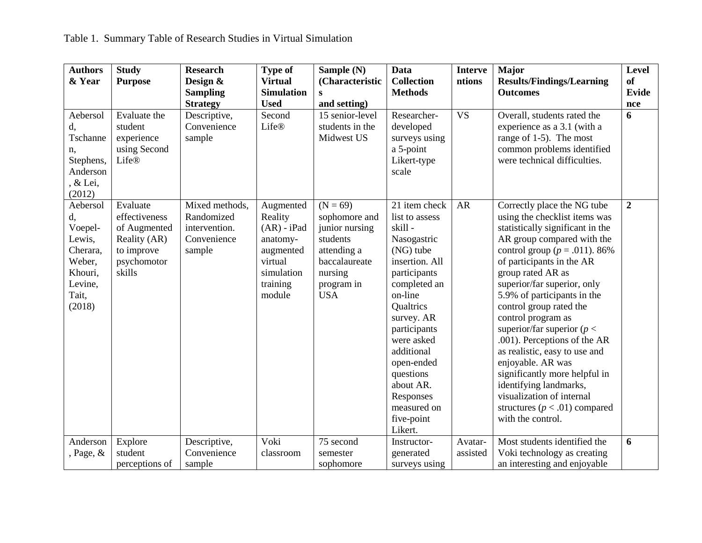| <b>Authors</b>  | <b>Study</b>            | <b>Research</b>             | <b>Type of</b>         | Sample (N)                         | <b>Data</b>                | <b>Interve</b> | <b>Major</b>                                           | <b>Level</b>     |
|-----------------|-------------------------|-----------------------------|------------------------|------------------------------------|----------------------------|----------------|--------------------------------------------------------|------------------|
| & Year          | <b>Purpose</b>          | Design &                    | <b>Virtual</b>         | (Characteristic                    | <b>Collection</b>          | ntions         | <b>Results/Findings/Learning</b>                       | <b>of</b>        |
|                 |                         | <b>Sampling</b>             | <b>Simulation</b>      | $\bf{s}$                           | <b>Methods</b>             |                | <b>Outcomes</b>                                        | Evide            |
|                 |                         | <b>Strategy</b>             | <b>Used</b>            | and setting)                       |                            |                |                                                        | nce              |
| Aebersol        | Evaluate the<br>student | Descriptive,<br>Convenience | Second<br><b>Life®</b> | 15 senior-level<br>students in the | Researcher-                | <b>VS</b>      | Overall, students rated the                            | 6                |
| d,<br>Tschanne  | experience              |                             |                        | Midwest US                         | developed<br>surveys using |                | experience as a 3.1 (with a<br>range of 1-5). The most |                  |
|                 | using Second            | sample                      |                        |                                    | a 5-point                  |                | common problems identified                             |                  |
| n,<br>Stephens, | <b>Life®</b>            |                             |                        |                                    | Likert-type                |                | were technical difficulties.                           |                  |
| Anderson        |                         |                             |                        |                                    | scale                      |                |                                                        |                  |
| , & Lei,        |                         |                             |                        |                                    |                            |                |                                                        |                  |
| (2012)          |                         |                             |                        |                                    |                            |                |                                                        |                  |
| Aebersol        | Evaluate                | Mixed methods,              | Augmented              | $(N = 69)$                         | 21 item check              | <b>AR</b>      | Correctly place the NG tube                            | $\boldsymbol{2}$ |
| d,              | effectiveness           | Randomized                  | Reality                | sophomore and                      | list to assess             |                | using the checklist items was                          |                  |
| Voepel-         | of Augmented            | intervention.               | $(AR) - iPad$          | junior nursing                     | skill-                     |                | statistically significant in the                       |                  |
| Lewis,          | Reality (AR)            | Convenience                 | anatomy-               | students                           | Nasogastric                |                | AR group compared with the                             |                  |
| Cherara,        | to improve              | sample                      | augmented              | attending a                        | (NG) tube                  |                | control group ( $p = .011$ ). 86%                      |                  |
| Weber,          | psychomotor             |                             | virtual                | baccalaureate                      | insertion. All             |                | of participants in the AR                              |                  |
| Khouri,         | skills                  |                             | simulation             | nursing                            | participants               |                | group rated AR as                                      |                  |
| Levine,         |                         |                             | training               | program in                         | completed an               |                | superior/far superior, only                            |                  |
| Tait,           |                         |                             | module                 | <b>USA</b>                         | on-line                    |                | 5.9% of participants in the                            |                  |
| (2018)          |                         |                             |                        |                                    | Qualtrics                  |                | control group rated the                                |                  |
|                 |                         |                             |                        |                                    | survey. AR                 |                | control program as                                     |                  |
|                 |                         |                             |                        |                                    | participants               |                | superior/far superior ( $p <$                          |                  |
|                 |                         |                             |                        |                                    | were asked<br>additional   |                | .001). Perceptions of the AR                           |                  |
|                 |                         |                             |                        |                                    | open-ended                 |                | as realistic, easy to use and<br>enjoyable. AR was     |                  |
|                 |                         |                             |                        |                                    | questions                  |                | significantly more helpful in                          |                  |
|                 |                         |                             |                        |                                    | about AR.                  |                | identifying landmarks,                                 |                  |
|                 |                         |                             |                        |                                    | Responses                  |                | visualization of internal                              |                  |
|                 |                         |                             |                        |                                    | measured on                |                | structures ( $p < .01$ ) compared                      |                  |
|                 |                         |                             |                        |                                    | five-point                 |                | with the control.                                      |                  |
|                 |                         |                             |                        |                                    | Likert.                    |                |                                                        |                  |
| Anderson        | Explore                 | Descriptive,                | Voki                   | 75 second                          | Instructor-                | Avatar-        | Most students identified the                           | 6                |
| , Page, $\&$    | student                 | Convenience                 | classroom              | semester                           | generated                  | assisted       | Voki technology as creating                            |                  |
|                 | perceptions of          | sample                      |                        | sophomore                          | surveys using              |                | an interesting and enjoyable                           |                  |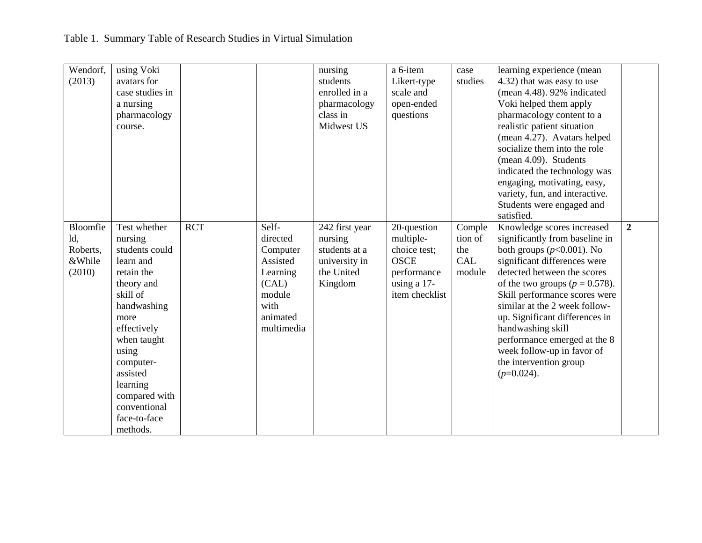| Wendorf,<br>(2013)                              | using Voki<br>avatars for<br>case studies in<br>a nursing<br>pharmacology<br>course.                                                                                                                                                                           |            |                                                                                                            | nursing<br>students<br>enrolled in a<br>pharmacology<br>class in<br>Midwest US       | a 6-item<br>Likert-type<br>scale and<br>open-ended<br>questions                                         | case<br>studies                           | learning experience (mean<br>4.32) that was easy to use<br>(mean $4.48$ ). $92\%$ indicated<br>Voki helped them apply<br>pharmacology content to a<br>realistic patient situation<br>(mean 4.27). Avatars helped<br>socialize them into the role<br>(mean 4.09). Students<br>indicated the technology was<br>engaging, motivating, easy,<br>variety, fun, and interactive.<br>Students were engaged and<br>satisfied.               |                |
|-------------------------------------------------|----------------------------------------------------------------------------------------------------------------------------------------------------------------------------------------------------------------------------------------------------------------|------------|------------------------------------------------------------------------------------------------------------|--------------------------------------------------------------------------------------|---------------------------------------------------------------------------------------------------------|-------------------------------------------|-------------------------------------------------------------------------------------------------------------------------------------------------------------------------------------------------------------------------------------------------------------------------------------------------------------------------------------------------------------------------------------------------------------------------------------|----------------|
| Bloomfie<br>ld,<br>Roberts,<br>&While<br>(2010) | Test whether<br>nursing<br>students could<br>learn and<br>retain the<br>theory and<br>skill of<br>handwashing<br>more<br>effectively<br>when taught<br>using<br>computer-<br>assisted<br>learning<br>compared with<br>conventional<br>face-to-face<br>methods. | <b>RCT</b> | Self-<br>directed<br>Computer<br>Assisted<br>Learning<br>(CAL)<br>module<br>with<br>animated<br>multimedia | 242 first year<br>nursing<br>students at a<br>university in<br>the United<br>Kingdom | 20-question<br>multiple-<br>choice test;<br><b>OSCE</b><br>performance<br>using a 17-<br>item checklist | Comple<br>tion of<br>the<br>CAL<br>module | Knowledge scores increased<br>significantly from baseline in<br>both groups $(p<0.001)$ . No<br>significant differences were<br>detected between the scores<br>of the two groups ( $p = 0.578$ ).<br>Skill performance scores were<br>similar at the 2 week follow-<br>up. Significant differences in<br>handwashing skill<br>performance emerged at the 8<br>week follow-up in favor of<br>the intervention group<br>$(p=0.024)$ . | $\overline{2}$ |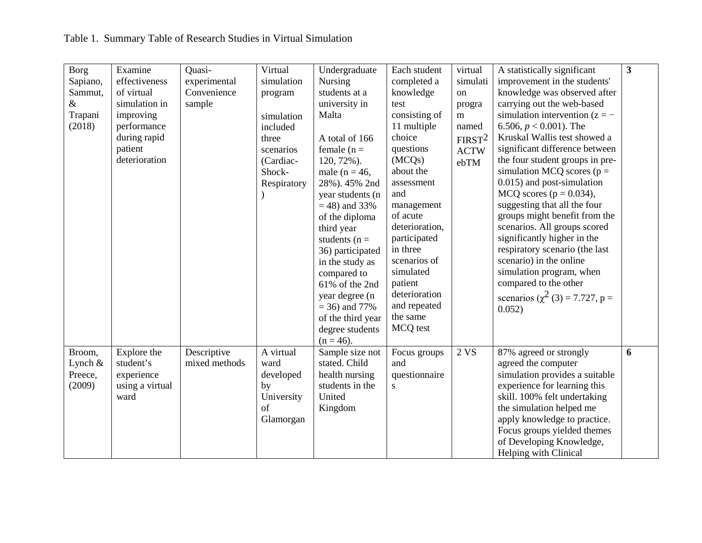| <b>Borg</b> | Examine         | Quasi-        | Virtual     | Undergraduate     | Each student            | virtual            | A statistically significant           | $\overline{3}$ |
|-------------|-----------------|---------------|-------------|-------------------|-------------------------|--------------------|---------------------------------------|----------------|
| Sapiano,    | effectiveness   | experimental  | simulation  | <b>Nursing</b>    | completed a             | simulati           | improvement in the students'          |                |
| Sammut,     | of virtual      | Convenience   | program     | students at a     | knowledge               | on                 | knowledge was observed after          |                |
| $\&$        | simulation in   | sample        |             | university in     | test                    | progra             | carrying out the web-based            |                |
| Trapani     | improving       |               | simulation  | Malta             | consisting of           | m                  | simulation intervention $(z = -$      |                |
| (2018)      | performance     |               | included    |                   | 11 multiple             | named              | 6.506, $p < 0.001$ ). The             |                |
|             | during rapid    |               | three       | A total of 166    | choice                  | FIRST <sup>2</sup> | Kruskal Wallis test showed a          |                |
|             | patient         |               | scenarios   | female $(n =$     | questions               | <b>ACTW</b>        | significant difference between        |                |
|             | deterioration   |               | (Cardiac-   | $120, 72\%$ ).    | (MCQs)                  | ebTM               | the four student groups in pre-       |                |
|             |                 |               | Shock-      | male ( $n = 46$ , | about the               |                    | simulation MCQ scores ( $p =$         |                |
|             |                 |               | Respiratory | 28%). 45% 2nd     | assessment              |                    | 0.015) and post-simulation            |                |
|             |                 |               |             | year students (n  | and                     |                    | MCQ scores ( $p = 0.034$ ),           |                |
|             |                 |               |             | $= 48$ ) and 33%  | management              |                    | suggesting that all the four          |                |
|             |                 |               |             | of the diploma    | of acute                |                    | groups might benefit from the         |                |
|             |                 |               |             | third year        | deterioration,          |                    | scenarios. All groups scored          |                |
|             |                 |               |             | students ( $n =$  | participated            |                    | significantly higher in the           |                |
|             |                 |               |             | 36) participated  | in three                |                    | respiratory scenario (the last        |                |
|             |                 |               |             | in the study as   | scenarios of            |                    | scenario) in the online               |                |
|             |                 |               |             | compared to       | simulated               |                    | simulation program, when              |                |
|             |                 |               |             | 61% of the 2nd    | patient                 |                    | compared to the other                 |                |
|             |                 |               |             | year degree (n    | deterioration           |                    | scenarios ( $\chi^2$ (3) = 7.727, p = |                |
|             |                 |               |             | $=$ 36) and 77%   | and repeated            |                    | 0.052)                                |                |
|             |                 |               |             | of the third year | the same                |                    |                                       |                |
|             |                 |               |             | degree students   | MCQ test                |                    |                                       |                |
|             |                 |               |             | $(n = 46)$ .      |                         |                    |                                       |                |
| Broom,      | Explore the     | Descriptive   | A virtual   | Sample size not   | Focus groups            | 2VS                | 87% agreed or strongly                | 6              |
| Lynch $\&$  | student's       | mixed methods | ward        | stated. Child     | and                     |                    | agreed the computer                   |                |
| Preece,     | experience      |               | developed   | health nursing    | questionnaire           |                    | simulation provides a suitable        |                |
| (2009)      | using a virtual |               | by          | students in the   | $\overline{\mathbf{s}}$ |                    | experience for learning this          |                |
|             | ward            |               | University  | United            |                         |                    | skill. 100% felt undertaking          |                |
|             |                 |               | of          | Kingdom           |                         |                    | the simulation helped me              |                |
|             |                 |               | Glamorgan   |                   |                         |                    | apply knowledge to practice.          |                |
|             |                 |               |             |                   |                         |                    | Focus groups yielded themes           |                |
|             |                 |               |             |                   |                         |                    | of Developing Knowledge,              |                |
|             |                 |               |             |                   |                         |                    | Helping with Clinical                 |                |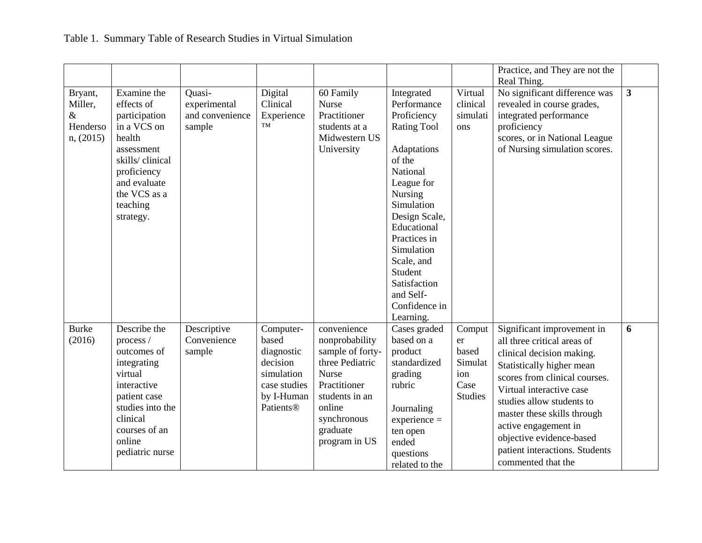|                                                     |                                                                                                                                                                                 |                                                     |                                                                                                       |                                                                                                                                                                              |                                                                                                                                                                                                                                                                                              |                                                                   | Practice, and They are not the<br>Real Thing.                                                                                                                                                                                                                                                                                                            |              |
|-----------------------------------------------------|---------------------------------------------------------------------------------------------------------------------------------------------------------------------------------|-----------------------------------------------------|-------------------------------------------------------------------------------------------------------|------------------------------------------------------------------------------------------------------------------------------------------------------------------------------|----------------------------------------------------------------------------------------------------------------------------------------------------------------------------------------------------------------------------------------------------------------------------------------------|-------------------------------------------------------------------|----------------------------------------------------------------------------------------------------------------------------------------------------------------------------------------------------------------------------------------------------------------------------------------------------------------------------------------------------------|--------------|
| Bryant,<br>Miller,<br>$\&$<br>Henderso<br>n, (2015) | Examine the<br>effects of<br>participation<br>in a VCS on<br>health<br>assessment<br>skills/clinical<br>proficiency<br>and evaluate<br>the VCS as a<br>teaching<br>strategy.    | Quasi-<br>experimental<br>and convenience<br>sample | Digital<br>Clinical<br>Experience<br>TM                                                               | 60 Family<br><b>Nurse</b><br>Practitioner<br>students at a<br>Midwestern US<br>University                                                                                    | Integrated<br>Performance<br>Proficiency<br><b>Rating Tool</b><br>Adaptations<br>of the<br>National<br>League for<br>Nursing<br>Simulation<br>Design Scale,<br>Educational<br>Practices in<br>Simulation<br>Scale, and<br>Student<br>Satisfaction<br>and Self-<br>Confidence in<br>Learning. | Virtual<br>clinical<br>simulati<br>ons                            | No significant difference was<br>revealed in course grades,<br>integrated performance<br>proficiency<br>scores, or in National League<br>of Nursing simulation scores.                                                                                                                                                                                   | $\mathbf{3}$ |
| <b>Burke</b><br>(2016)                              | Describe the<br>process /<br>outcomes of<br>integrating<br>virtual<br>interactive<br>patient case<br>studies into the<br>clinical<br>courses of an<br>online<br>pediatric nurse | Descriptive<br>Convenience<br>sample                | Computer-<br>based<br>diagnostic<br>decision<br>simulation<br>case studies<br>by I-Human<br>Patients® | convenience<br>nonprobability<br>sample of forty-<br>three Pediatric<br><b>Nurse</b><br>Practitioner<br>students in an<br>online<br>synchronous<br>graduate<br>program in US | Cases graded<br>based on a<br>product<br>standardized<br>grading<br>rubric<br>Journaling<br>$experience =$<br>ten open<br>ended<br>questions<br>related to the                                                                                                                               | Comput<br>er<br>based<br>Simulat<br>ion<br>Case<br><b>Studies</b> | Significant improvement in<br>all three critical areas of<br>clinical decision making.<br>Statistically higher mean<br>scores from clinical courses.<br>Virtual interactive case<br>studies allow students to<br>master these skills through<br>active engagement in<br>objective evidence-based<br>patient interactions. Students<br>commented that the | 6            |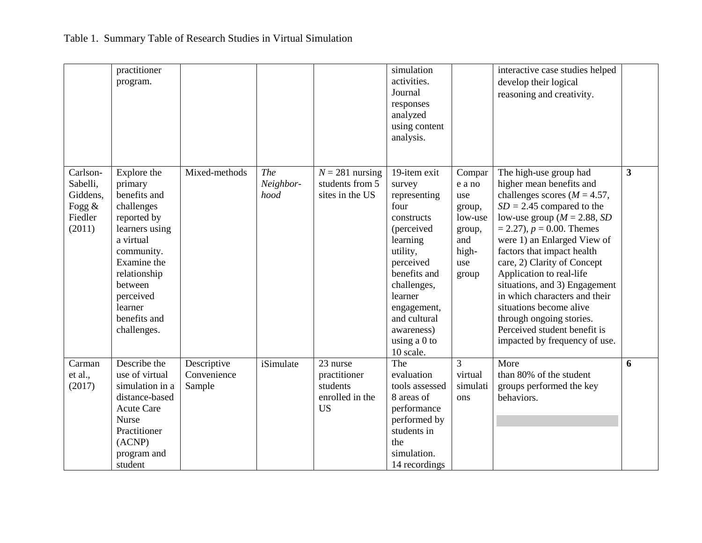|         |                                                       | practitioner<br>program.                                                                                                                                                                                          |                                      |                          |                                                                      | simulation<br>activities.<br>Journal<br>responses<br>analyzed<br>using content<br>analysis.                                                                                                                                           |                                                                                        | interactive case studies helped<br>develop their logical<br>reasoning and creativity.                                                                                                                                                                                                                                                                                                                                                                                                                        |   |
|---------|-------------------------------------------------------|-------------------------------------------------------------------------------------------------------------------------------------------------------------------------------------------------------------------|--------------------------------------|--------------------------|----------------------------------------------------------------------|---------------------------------------------------------------------------------------------------------------------------------------------------------------------------------------------------------------------------------------|----------------------------------------------------------------------------------------|--------------------------------------------------------------------------------------------------------------------------------------------------------------------------------------------------------------------------------------------------------------------------------------------------------------------------------------------------------------------------------------------------------------------------------------------------------------------------------------------------------------|---|
| (2011)  | Carlson-<br>Sabelli,<br>Giddens,<br>Fogg &<br>Fiedler | Explore the<br>primary<br>benefits and<br>challenges<br>reported by<br>learners using<br>a virtual<br>community.<br>Examine the<br>relationship<br>between<br>perceived<br>learner<br>benefits and<br>challenges. | Mixed-methods                        | The<br>Neighbor-<br>hood | $N = 281$ nursing<br>students from 5<br>sites in the US              | 19-item exit<br>survey<br>representing<br>four<br>constructs<br>(perceived<br>learning<br>utility,<br>perceived<br>benefits and<br>challenges,<br>learner<br>engagement,<br>and cultural<br>awareness)<br>using a $0$ to<br>10 scale. | Compar<br>e a no<br>use<br>group,<br>low-use<br>group,<br>and<br>high-<br>use<br>group | The high-use group had<br>higher mean benefits and<br>challenges scores ( $M = 4.57$ ,<br>$SD = 2.45$ compared to the<br>low-use group ( $M = 2.88$ , SD<br>$= 2.27$ , $p = 0.00$ . Themes<br>were 1) an Enlarged View of<br>factors that impact health<br>care, 2) Clarity of Concept<br>Application to real-life<br>situations, and 3) Engagement<br>in which characters and their<br>situations become alive<br>through ongoing stories.<br>Perceived student benefit is<br>impacted by frequency of use. | 3 |
| et al., | Carman<br>(2017)                                      | Describe the<br>use of virtual<br>simulation in a<br>distance-based<br><b>Acute Care</b><br><b>Nurse</b><br>Practitioner<br>(ACNP)<br>program and<br>student                                                      | Descriptive<br>Convenience<br>Sample | iSimulate                | 23 nurse<br>practitioner<br>students<br>enrolled in the<br><b>US</b> | The<br>evaluation<br>tools assessed<br>8 areas of<br>performance<br>performed by<br>students in<br>the<br>simulation.<br>14 recordings                                                                                                | 3<br>virtual<br>simulati<br>ons                                                        | More<br>than 80% of the student<br>groups performed the key<br>behaviors.                                                                                                                                                                                                                                                                                                                                                                                                                                    | 6 |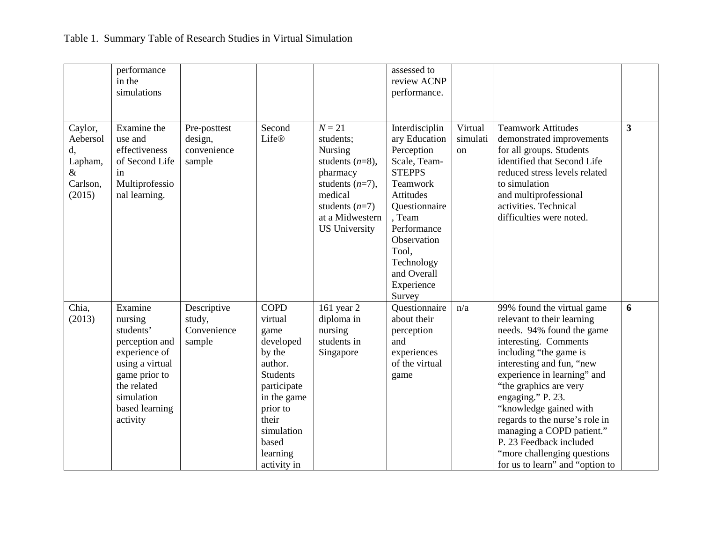|                                                                    | performance<br>in the<br>simulations                                                                                                                              |                                                  |                                                                                                                                                                                          |                                                                                                                                                                           | assessed to<br>review ACNP<br>performance.                                                                                                                                                                                     |                           |                                                                                                                                                                                                                                                                                                                                                                                                                                            |                         |
|--------------------------------------------------------------------|-------------------------------------------------------------------------------------------------------------------------------------------------------------------|--------------------------------------------------|------------------------------------------------------------------------------------------------------------------------------------------------------------------------------------------|---------------------------------------------------------------------------------------------------------------------------------------------------------------------------|--------------------------------------------------------------------------------------------------------------------------------------------------------------------------------------------------------------------------------|---------------------------|--------------------------------------------------------------------------------------------------------------------------------------------------------------------------------------------------------------------------------------------------------------------------------------------------------------------------------------------------------------------------------------------------------------------------------------------|-------------------------|
| Caylor,<br>Aebersol<br>d,<br>Lapham,<br>$\&$<br>Carlson,<br>(2015) | Examine the<br>use and<br>effectiveness<br>of Second Life<br>in<br>Multiprofessio<br>nal learning.                                                                | Pre-posttest<br>design,<br>convenience<br>sample | Second<br>Life®                                                                                                                                                                          | $N = 21$<br>students;<br><b>Nursing</b><br>students $(n=8)$ ,<br>pharmacy<br>students $(n=7)$ ,<br>medical<br>students $(n=7)$<br>at a Midwestern<br><b>US University</b> | Interdisciplin<br>ary Education<br>Perception<br>Scale, Team-<br><b>STEPPS</b><br>Teamwork<br>Attitudes<br>Questionnaire<br>, Team<br>Performance<br>Observation<br>Tool,<br>Technology<br>and Overall<br>Experience<br>Survey | Virtual<br>simulati<br>on | <b>Teamwork Attitudes</b><br>demonstrated improvements<br>for all groups. Students<br>identified that Second Life<br>reduced stress levels related<br>to simulation<br>and multiprofessional<br>activities. Technical<br>difficulties were noted.                                                                                                                                                                                          | $\overline{\mathbf{3}}$ |
| Chia,<br>(2013)                                                    | Examine<br>nursing<br>students'<br>perception and<br>experience of<br>using a virtual<br>game prior to<br>the related<br>simulation<br>based learning<br>activity | Descriptive<br>study,<br>Convenience<br>sample   | <b>COPD</b><br>virtual<br>game<br>developed<br>by the<br>author.<br><b>Students</b><br>participate<br>in the game<br>prior to<br>their<br>simulation<br>based<br>learning<br>activity in | 161 year 2<br>diploma in<br>nursing<br>students in<br>Singapore                                                                                                           | Questionnaire<br>about their<br>perception<br>and<br>experiences<br>of the virtual<br>game                                                                                                                                     | n/a                       | 99% found the virtual game<br>relevant to their learning<br>needs. 94% found the game<br>interesting. Comments<br>including "the game is<br>interesting and fun, "new<br>experience in learning" and<br>"the graphics are very<br>engaging." P. 23.<br>"knowledge gained with<br>regards to the nurse's role in<br>managing a COPD patient."<br>P. 23 Feedback included<br>"more challenging questions"<br>for us to learn" and "option to | 6                       |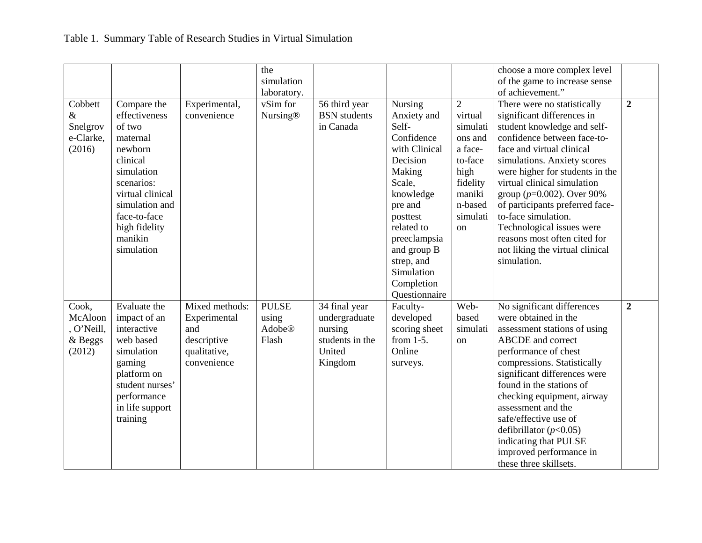|            |                  |                | the             |                     |                |                | choose a more complex level     |                  |
|------------|------------------|----------------|-----------------|---------------------|----------------|----------------|---------------------------------|------------------|
|            |                  |                | simulation      |                     |                |                | of the game to increase sense   |                  |
|            |                  |                | laboratory.     |                     |                |                | of achievement."                |                  |
| Cobbett    | Compare the      | Experimental,  | vSim for        | 56 third year       | <b>Nursing</b> | $\overline{2}$ | There were no statistically     | $\overline{2}$   |
| $\&$       | effectiveness    | convenience    | <b>Nursing®</b> | <b>BSN</b> students | Anxiety and    | virtual        | significant differences in      |                  |
| Snelgrov   | of two           |                |                 | in Canada           | Self-          | simulati       | student knowledge and self-     |                  |
| e-Clarke,  | maternal         |                |                 |                     | Confidence     | ons and        | confidence between face-to-     |                  |
| (2016)     | newborn          |                |                 |                     | with Clinical  | a face-        | face and virtual clinical       |                  |
|            | clinical         |                |                 |                     | Decision       | to-face        | simulations. Anxiety scores     |                  |
|            | simulation       |                |                 |                     | Making         | high           | were higher for students in the |                  |
|            | scenarios:       |                |                 |                     | Scale,         | fidelity       | virtual clinical simulation     |                  |
|            | virtual clinical |                |                 |                     | knowledge      | maniki         | group ( $p=0.002$ ). Over 90%   |                  |
|            | simulation and   |                |                 |                     | pre and        | n-based        | of participants preferred face- |                  |
|            | face-to-face     |                |                 |                     | posttest       | simulati       | to-face simulation.             |                  |
|            | high fidelity    |                |                 |                     | related to     | <sub>on</sub>  | Technological issues were       |                  |
|            | manikin          |                |                 |                     | preeclampsia   |                | reasons most often cited for    |                  |
|            | simulation       |                |                 |                     | and group B    |                | not liking the virtual clinical |                  |
|            |                  |                |                 |                     | strep, and     |                | simulation.                     |                  |
|            |                  |                |                 |                     | Simulation     |                |                                 |                  |
|            |                  |                |                 |                     | Completion     |                |                                 |                  |
|            |                  |                |                 |                     | Questionnaire  |                |                                 |                  |
| Cook,      | Evaluate the     | Mixed methods: | <b>PULSE</b>    | 34 final year       | Faculty-       | Web-           | No significant differences      | $\boldsymbol{2}$ |
| McAloon    | impact of an     | Experimental   | using           | undergraduate       | developed      | based          | were obtained in the            |                  |
| , O'Neill, | interactive      | and            | <b>Adobe®</b>   | nursing             | scoring sheet  | simulati       | assessment stations of using    |                  |
| & Beggs    | web based        | descriptive    | Flash           | students in the     | from $1-5$ .   | on             | <b>ABCDE</b> and correct        |                  |
| (2012)     | simulation       | qualitative,   |                 | United              | Online         |                | performance of chest            |                  |
|            | gaming           | convenience    |                 | Kingdom             | surveys.       |                | compressions. Statistically     |                  |
|            | platform on      |                |                 |                     |                |                | significant differences were    |                  |
|            | student nurses'  |                |                 |                     |                |                | found in the stations of        |                  |
|            | performance      |                |                 |                     |                |                | checking equipment, airway      |                  |
|            | in life support  |                |                 |                     |                |                | assessment and the              |                  |
|            | training         |                |                 |                     |                |                | safe/effective use of           |                  |
|            |                  |                |                 |                     |                |                | defibrillator ( $p<0.05$ )      |                  |
|            |                  |                |                 |                     |                |                | indicating that PULSE           |                  |
|            |                  |                |                 |                     |                |                | improved performance in         |                  |
|            |                  |                |                 |                     |                |                | these three skillsets.          |                  |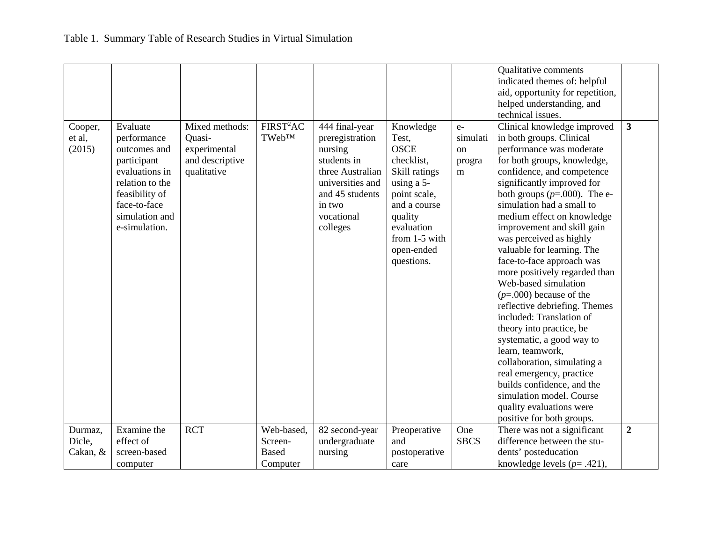|                               |                                                                                                                                                                  |                                                                            |                                                   |                                                                                                                                                            |                                                                                                                                                                                      |                                       | Qualitative comments<br>indicated themes of: helpful<br>aid, opportunity for repetition,<br>helped understanding, and<br>technical issues.                                                                                                                                                                                                                                                                                                                                                                                                                                                                                                                                                                                                                                                                     |                         |
|-------------------------------|------------------------------------------------------------------------------------------------------------------------------------------------------------------|----------------------------------------------------------------------------|---------------------------------------------------|------------------------------------------------------------------------------------------------------------------------------------------------------------|--------------------------------------------------------------------------------------------------------------------------------------------------------------------------------------|---------------------------------------|----------------------------------------------------------------------------------------------------------------------------------------------------------------------------------------------------------------------------------------------------------------------------------------------------------------------------------------------------------------------------------------------------------------------------------------------------------------------------------------------------------------------------------------------------------------------------------------------------------------------------------------------------------------------------------------------------------------------------------------------------------------------------------------------------------------|-------------------------|
| Cooper,<br>et al,<br>(2015)   | Evaluate<br>performance<br>outcomes and<br>participant<br>evaluations in<br>relation to the<br>feasibility of<br>face-to-face<br>simulation and<br>e-simulation. | Mixed methods:<br>Quasi-<br>experimental<br>and descriptive<br>qualitative | FIRST <sup>2</sup> AC<br><b>TWebTM</b>            | 444 final-year<br>preregistration<br>nursing<br>students in<br>three Australian<br>universities and<br>and 45 students<br>in two<br>vocational<br>colleges | Knowledge<br>Test,<br><b>OSCE</b><br>checklist,<br>Skill ratings<br>using a 5-<br>point scale,<br>and a course<br>quality<br>evaluation<br>from 1-5 with<br>open-ended<br>questions. | $e-$<br>simulati<br>on<br>progra<br>m | Clinical knowledge improved<br>in both groups. Clinical<br>performance was moderate<br>for both groups, knowledge,<br>confidence, and competence<br>significantly improved for<br>both groups $(p=.000)$ . The e-<br>simulation had a small to<br>medium effect on knowledge<br>improvement and skill gain<br>was perceived as highly<br>valuable for learning. The<br>face-to-face approach was<br>more positively regarded than<br>Web-based simulation<br>$(p=.000)$ because of the<br>reflective debriefing. Themes<br>included: Translation of<br>theory into practice, be<br>systematic, a good way to<br>learn, teamwork,<br>collaboration, simulating a<br>real emergency, practice<br>builds confidence, and the<br>simulation model. Course<br>quality evaluations were<br>positive for both groups. | $\overline{\mathbf{3}}$ |
| Durmaz,<br>Dicle,<br>Cakan, & | Examine the<br>effect of<br>screen-based<br>computer                                                                                                             | <b>RCT</b>                                                                 | Web-based,<br>Screen-<br><b>Based</b><br>Computer | 82 second-year<br>undergraduate<br>nursing                                                                                                                 | Preoperative<br>and<br>postoperative<br>care                                                                                                                                         | One<br><b>SBCS</b>                    | There was not a significant<br>difference between the stu-<br>dents' posteducation<br>knowledge levels ( $p = .421$ ),                                                                                                                                                                                                                                                                                                                                                                                                                                                                                                                                                                                                                                                                                         | $\overline{2}$          |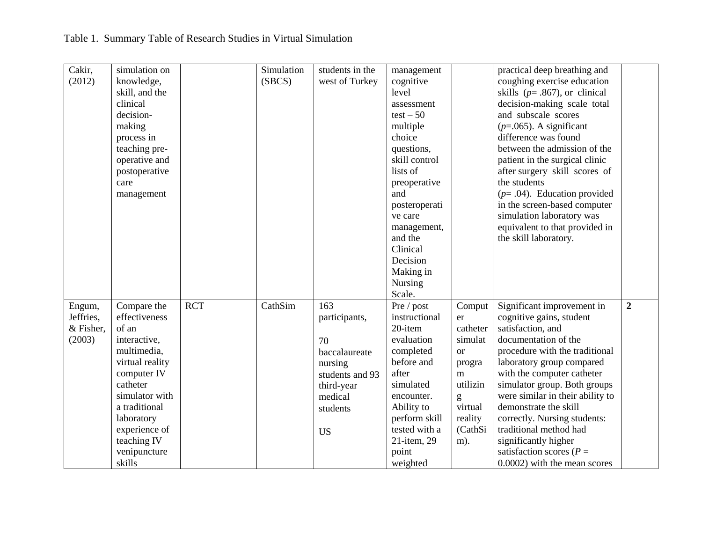|  |  |  | Table 1. Summary Table of Research Studies in Virtual Simulation |  |  |  |
|--|--|--|------------------------------------------------------------------|--|--|--|
|--|--|--|------------------------------------------------------------------|--|--|--|

| Cakir,              | simulation on   |            | Simulation | students in the | management    |           | practical deep breathing and       |                |
|---------------------|-----------------|------------|------------|-----------------|---------------|-----------|------------------------------------|----------------|
| (2012)              | knowledge,      |            | (SBCS)     | west of Turkey  | cognitive     |           | coughing exercise education        |                |
|                     | skill, and the  |            |            |                 | level         |           | skills ( $p = .867$ ), or clinical |                |
|                     |                 |            |            |                 |               |           |                                    |                |
|                     | clinical        |            |            |                 | assessment    |           | decision-making scale total        |                |
|                     | decision-       |            |            |                 | $test - 50$   |           | and subscale scores                |                |
|                     | making          |            |            |                 | multiple      |           | $(p=.065)$ . A significant         |                |
|                     | process in      |            |            |                 | choice        |           | difference was found               |                |
|                     | teaching pre-   |            |            |                 | questions,    |           | between the admission of the       |                |
|                     | operative and   |            |            |                 | skill control |           | patient in the surgical clinic     |                |
|                     | postoperative   |            |            |                 | lists of      |           | after surgery skill scores of      |                |
|                     | care            |            |            |                 | preoperative  |           | the students                       |                |
|                     | management      |            |            |                 | and           |           | $(p=.04)$ . Education provided     |                |
|                     |                 |            |            |                 | posteroperati |           | in the screen-based computer       |                |
|                     |                 |            |            |                 | ve care       |           | simulation laboratory was          |                |
|                     |                 |            |            |                 | management,   |           | equivalent to that provided in     |                |
|                     |                 |            |            |                 | and the       |           | the skill laboratory.              |                |
|                     |                 |            |            |                 | Clinical      |           |                                    |                |
|                     |                 |            |            |                 | Decision      |           |                                    |                |
|                     |                 |            |            |                 | Making in     |           |                                    |                |
|                     |                 |            |            |                 | Nursing       |           |                                    |                |
|                     |                 |            |            |                 | Scale.        |           |                                    |                |
|                     | Compare the     | <b>RCT</b> | CathSim    | 163             | Pre / post    | Comput    | Significant improvement in         | $\overline{2}$ |
| Engum,<br>Jeffries, | effectiveness   |            |            |                 | instructional |           | cognitive gains, student           |                |
|                     |                 |            |            | participants,   |               | er        |                                    |                |
| & Fisher,           | of an           |            |            |                 | 20-item       | catheter  | satisfaction, and                  |                |
| (2003)              | interactive,    |            |            | 70              | evaluation    | simulat   | documentation of the               |                |
|                     | multimedia,     |            |            | baccalaureate   | completed     | <b>or</b> | procedure with the traditional     |                |
|                     | virtual reality |            |            | nursing         | before and    | progra    | laboratory group compared          |                |
|                     | computer IV     |            |            | students and 93 | after         | m         | with the computer catheter         |                |
|                     | catheter        |            |            | third-year      | simulated     | utilizin  | simulator group. Both groups       |                |
|                     | simulator with  |            |            | medical         | encounter.    | g         | were similar in their ability to   |                |
|                     | a traditional   |            |            | students        | Ability to    | virtual   | demonstrate the skill              |                |
|                     | laboratory      |            |            |                 | perform skill | reality   | correctly. Nursing students:       |                |
|                     | experience of   |            |            | <b>US</b>       | tested with a | (CathSi   | traditional method had             |                |
|                     | teaching IV     |            |            |                 | 21-item, 29   | m).       | significantly higher               |                |
|                     | venipuncture    |            |            |                 | point         |           | satisfaction scores ( $P =$        |                |
|                     | skills          |            |            |                 | weighted      |           | 0.0002) with the mean scores       |                |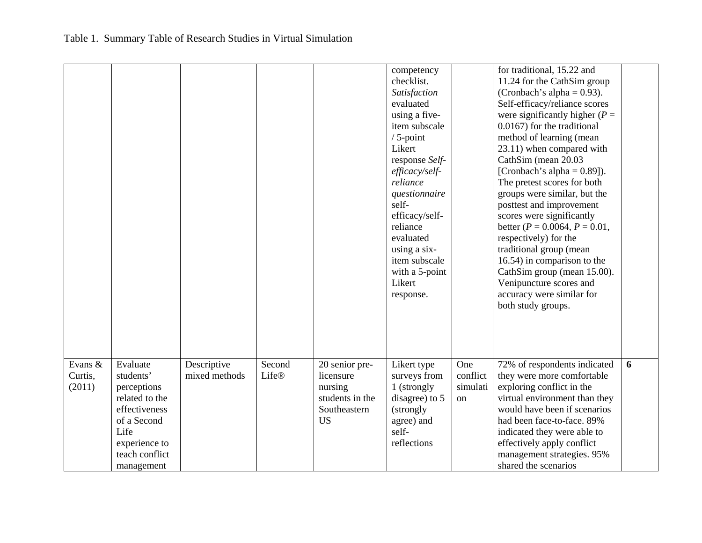|                              |                                                                                                                                                 |                              |                        |                                                                                        | competency<br>checklist.<br>Satisfaction<br>evaluated<br>using a five-<br>item subscale<br>$/5$ -point<br>Likert<br>response Self-<br>efficacy/self-<br>reliance<br>questionnaire<br>self-<br>efficacy/self-<br>reliance<br>evaluated<br>using a six-<br>item subscale<br>with a 5-point<br>Likert<br>response. |                                   | for traditional, 15.22 and<br>11.24 for the CathSim group<br>(Cronbach's alpha = $0.93$ ).<br>Self-efficacy/reliance scores<br>were significantly higher ( $P =$<br>0.0167) for the traditional<br>method of learning (mean<br>23.11) when compared with<br>CathSim (mean 20.03<br>[Cronbach's alpha = $0.89$ ]).<br>The pretest scores for both<br>groups were similar, but the<br>posttest and improvement<br>scores were significantly<br>better ( $P = 0.0064$ , $P = 0.01$ ,<br>respectively) for the<br>traditional group (mean<br>16.54) in comparison to the<br>CathSim group (mean 15.00).<br>Venipuncture scores and<br>accuracy were similar for<br>both study groups. |   |
|------------------------------|-------------------------------------------------------------------------------------------------------------------------------------------------|------------------------------|------------------------|----------------------------------------------------------------------------------------|-----------------------------------------------------------------------------------------------------------------------------------------------------------------------------------------------------------------------------------------------------------------------------------------------------------------|-----------------------------------|-----------------------------------------------------------------------------------------------------------------------------------------------------------------------------------------------------------------------------------------------------------------------------------------------------------------------------------------------------------------------------------------------------------------------------------------------------------------------------------------------------------------------------------------------------------------------------------------------------------------------------------------------------------------------------------|---|
| Evans &<br>Curtis,<br>(2011) | Evaluate<br>students'<br>perceptions<br>related to the<br>effectiveness<br>of a Second<br>Life<br>experience to<br>teach conflict<br>management | Descriptive<br>mixed methods | Second<br><b>Life®</b> | 20 senior pre-<br>licensure<br>nursing<br>students in the<br>Southeastern<br><b>US</b> | Likert type<br>surveys from<br>1 (strongly<br>disagree) to 5<br>(strongly)<br>agree) and<br>self-<br>reflections                                                                                                                                                                                                | One<br>conflict<br>simulati<br>on | 72% of respondents indicated<br>they were more comfortable<br>exploring conflict in the<br>virtual environment than they<br>would have been if scenarios<br>had been face-to-face. 89%<br>indicated they were able to<br>effectively apply conflict<br>management strategies. 95%<br>shared the scenarios                                                                                                                                                                                                                                                                                                                                                                         | 6 |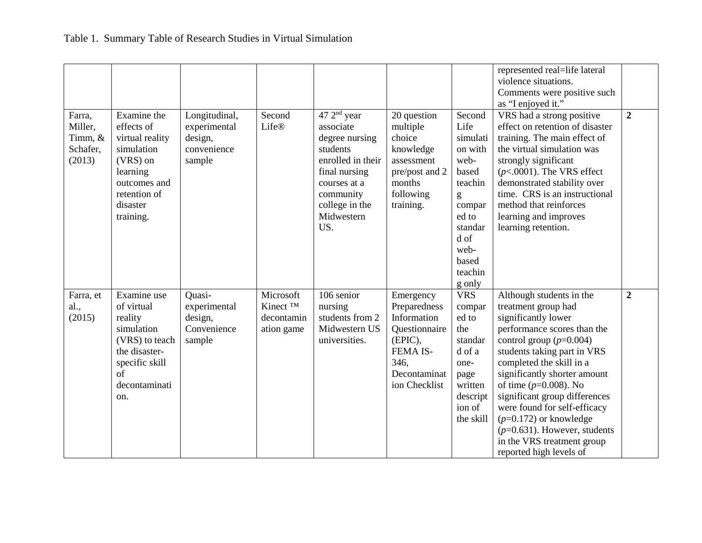|                                                    |                                                                                                                                                  |                                                                   |                                                               |                                                                                                                                                                             |                                                                                                                           |                                                                                                                                                    | represented real=life lateral<br>violence situations.<br>Comments were positive such<br>as "I enjoyed it."                                                                                                                                                                                                                                                                                                                                         |                  |
|----------------------------------------------------|--------------------------------------------------------------------------------------------------------------------------------------------------|-------------------------------------------------------------------|---------------------------------------------------------------|-----------------------------------------------------------------------------------------------------------------------------------------------------------------------------|---------------------------------------------------------------------------------------------------------------------------|----------------------------------------------------------------------------------------------------------------------------------------------------|----------------------------------------------------------------------------------------------------------------------------------------------------------------------------------------------------------------------------------------------------------------------------------------------------------------------------------------------------------------------------------------------------------------------------------------------------|------------------|
| Farra,<br>Miller,<br>Timm, &<br>Schafer,<br>(2013) | Examine the<br>effects of<br>virtual reality<br>simulation<br>(VRS) on<br>learning<br>outcomes and<br>retention of<br>disaster<br>training.      | Longitudinal,<br>experimental<br>design,<br>convenience<br>sample | Second<br><b>Life®</b>                                        | $472^{\text{nd}}$ year<br>associate<br>degree nursing<br>students<br>enrolled in their<br>final nursing<br>courses at a<br>community<br>college in the<br>Midwestern<br>US. | 20 question<br>multiple<br>choice<br>knowledge<br>assessment<br>pre/post and 2<br>months<br>following<br>training.        | Second<br>Life<br>simulati<br>on with<br>web-<br>based<br>teachin<br>g<br>compar<br>ed to<br>standar<br>d of<br>web-<br>based<br>teachin<br>g only | VRS had a strong positive<br>effect on retention of disaster<br>training. The main effect of<br>the virtual simulation was<br>strongly significant<br>$(p<.0001)$ . The VRS effect<br>demonstrated stability over<br>time. CRS is an instructional<br>method that reinforces<br>learning and improves<br>learning retention.                                                                                                                       | $\overline{2}$   |
| Farra, et<br>al.,<br>(2015)                        | Examine use<br>of virtual<br>reality<br>simulation<br>(VRS) to teach<br>the disaster-<br>specific skill<br><sub>of</sub><br>decontaminati<br>on. | Quasi-<br>experimental<br>design,<br>Convenience<br>sample        | Microsoft<br>Kinect <sup>TM</sup><br>decontamin<br>ation game | 106 senior<br>nursing<br>students from 2<br>Midwestern US<br>universities.                                                                                                  | Emergency<br>Preparedness<br>Information<br>Questionnaire<br>(EPIC),<br>FEMA IS-<br>346.<br>Decontaminat<br>ion Checklist | <b>VRS</b><br>compar<br>ed to<br>the<br>standar<br>d of a<br>one-<br>page<br>written<br>descript<br>ion of<br>the skill                            | Although students in the<br>treatment group had<br>significantly lower<br>performance scores than the<br>control group $(p=0.004)$<br>students taking part in VRS<br>completed the skill in a<br>significantly shorter amount<br>of time $(p=0.008)$ . No<br>significant group differences<br>were found for self-efficacy<br>$(p=0.172)$ or knowledge<br>$(p=0.631)$ . However, students<br>in the VRS treatment group<br>reported high levels of | $\boldsymbol{2}$ |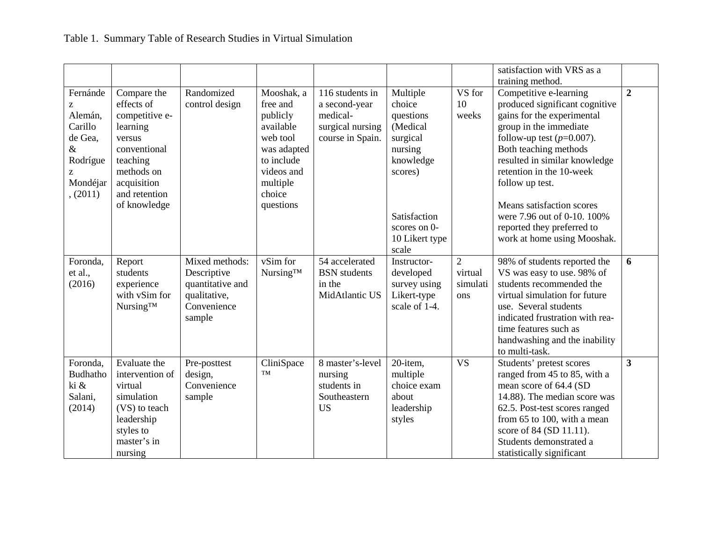|                                                                                                 |                                                                                                                                                             |                                                                                            |                                                                                                                                           |                                                                                      |                                                                                                                                                       |                                              | satisfaction with VRS as a<br>training method.                                                                                                                                                                                                                                                                                                                                     |                         |
|-------------------------------------------------------------------------------------------------|-------------------------------------------------------------------------------------------------------------------------------------------------------------|--------------------------------------------------------------------------------------------|-------------------------------------------------------------------------------------------------------------------------------------------|--------------------------------------------------------------------------------------|-------------------------------------------------------------------------------------------------------------------------------------------------------|----------------------------------------------|------------------------------------------------------------------------------------------------------------------------------------------------------------------------------------------------------------------------------------------------------------------------------------------------------------------------------------------------------------------------------------|-------------------------|
| Fernánde<br>Z<br>Alemán,<br>Carillo<br>de Gea,<br>$\&$<br>Rodrígue<br>Z<br>Mondéjar<br>, (2011) | Compare the<br>effects of<br>competitive e-<br>learning<br>versus<br>conventional<br>teaching<br>methods on<br>acquisition<br>and retention<br>of knowledge | Randomized<br>control design                                                               | Mooshak, a<br>free and<br>publicly<br>available<br>web tool<br>was adapted<br>to include<br>videos and<br>multiple<br>choice<br>questions | 116 students in<br>a second-year<br>medical-<br>surgical nursing<br>course in Spain. | Multiple<br>choice<br>questions<br>(Medical<br>surgical<br>nursing<br>knowledge<br>scores)<br>Satisfaction<br>scores on 0-<br>10 Likert type<br>scale | VS for<br>10<br>weeks                        | Competitive e-learning<br>produced significant cognitive<br>gains for the experimental<br>group in the immediate<br>follow-up test $(p=0.007)$ .<br>Both teaching methods<br>resulted in similar knowledge<br>retention in the 10-week<br>follow up test.<br>Means satisfaction scores<br>were 7.96 out of 0-10. 100%<br>reported they preferred to<br>work at home using Mooshak. | $\overline{2}$          |
| Foronda,<br>et al.,<br>(2016)                                                                   | Report<br>students<br>experience<br>with vSim for<br>Nursing™                                                                                               | Mixed methods:<br>Descriptive<br>quantitative and<br>qualitative,<br>Convenience<br>sample | vSim for<br>Nursing™                                                                                                                      | 54 accelerated<br><b>BSN</b> students<br>in the<br>MidAtlantic US                    | Instructor-<br>developed<br>survey using<br>Likert-type<br>scale of 1-4.                                                                              | $\overline{2}$<br>virtual<br>simulati<br>ons | 98% of students reported the<br>VS was easy to use. 98% of<br>students recommended the<br>virtual simulation for future<br>use. Several students<br>indicated frustration with rea-<br>time features such as<br>handwashing and the inability<br>to multi-task.                                                                                                                    | 6                       |
| Foronda,<br><b>Budhatho</b><br>ki &<br>Salani,<br>(2014)                                        | Evaluate the<br>intervention of<br>virtual<br>simulation<br>(VS) to teach<br>leadership<br>styles to<br>master's in<br>nursing                              | Pre-posttest<br>design,<br>Convenience<br>sample                                           | CliniSpace<br>TM                                                                                                                          | 8 master's-level<br>nursing<br>students in<br>Southeastern<br><b>US</b>              | 20-item,<br>multiple<br>choice exam<br>about<br>leadership<br>styles                                                                                  | <b>VS</b>                                    | Students' pretest scores<br>ranged from 45 to 85, with a<br>mean score of 64.4 (SD<br>14.88). The median score was<br>62.5. Post-test scores ranged<br>from 65 to 100, with a mean<br>score of 84 (SD 11.11).<br>Students demonstrated a<br>statistically significant                                                                                                              | $\overline{\mathbf{3}}$ |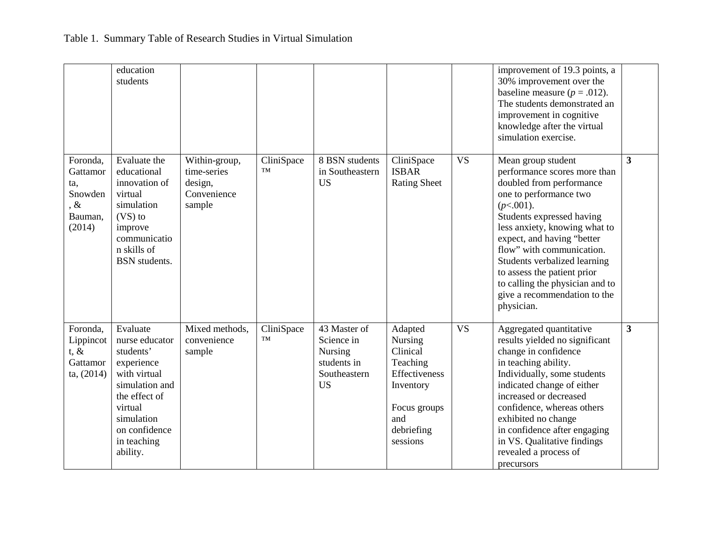|                                                                       | education<br>students                                                                                                                                                         |                                                                  |                  |                                                                                   |                                                                                                                           |           | improvement of 19.3 points, a<br>30% improvement over the<br>baseline measure ( $p = .012$ ).<br>The students demonstrated an<br>improvement in cognitive<br>knowledge after the virtual<br>simulation exercise.                                                                                                                                                                                  |   |
|-----------------------------------------------------------------------|-------------------------------------------------------------------------------------------------------------------------------------------------------------------------------|------------------------------------------------------------------|------------------|-----------------------------------------------------------------------------------|---------------------------------------------------------------------------------------------------------------------------|-----------|---------------------------------------------------------------------------------------------------------------------------------------------------------------------------------------------------------------------------------------------------------------------------------------------------------------------------------------------------------------------------------------------------|---|
| Foronda.<br>Gattamor<br>ta,<br>Snowden<br>, $\&$<br>Bauman,<br>(2014) | Evaluate the<br>educational<br>innovation of<br>virtual<br>simulation<br>$(VS)$ to<br>improve<br>communicatio<br>n skills of<br><b>BSN</b> students.                          | Within-group,<br>time-series<br>design,<br>Convenience<br>sample | CliniSpace<br>TM | 8 BSN students<br>in Southeastern<br><b>US</b>                                    | CliniSpace<br><b>ISBAR</b><br><b>Rating Sheet</b>                                                                         | <b>VS</b> | Mean group student<br>performance scores more than<br>doubled from performance<br>one to performance two<br>$(p<.001)$ .<br>Students expressed having<br>less anxiety, knowing what to<br>expect, and having "better<br>flow" with communication.<br>Students verbalized learning<br>to assess the patient prior<br>to calling the physician and to<br>give a recommendation to the<br>physician. | 3 |
| Foronda,<br>Lippincot<br>$t, \&$<br>Gattamor<br>ta, (2014)            | Evaluate<br>nurse educator<br>students'<br>experience<br>with virtual<br>simulation and<br>the effect of<br>virtual<br>simulation<br>on confidence<br>in teaching<br>ability. | Mixed methods.<br>convenience<br>sample                          | CliniSpace<br>TM | 43 Master of<br>Science in<br>Nursing<br>students in<br>Southeastern<br><b>US</b> | Adapted<br>Nursing<br>Clinical<br>Teaching<br>Effectiveness<br>Inventory<br>Focus groups<br>and<br>debriefing<br>sessions | <b>VS</b> | Aggregated quantitative<br>results yielded no significant<br>change in confidence<br>in teaching ability.<br>Individually, some students<br>indicated change of either<br>increased or decreased<br>confidence, whereas others<br>exhibited no change<br>in confidence after engaging<br>in VS. Qualitative findings<br>revealed a process of<br>precursors                                       | 3 |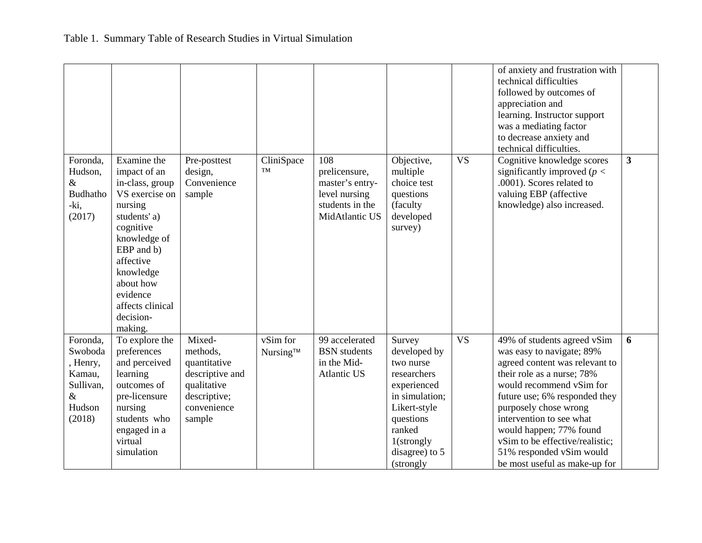|                                                                                    |                                                                                                                                                                                                                                       |                                                                                                               |                      |                                                                                               |                                                                                                                                                                         |           | of anxiety and frustration with<br>technical difficulties<br>followed by outcomes of<br>appreciation and<br>learning. Instructor support<br>was a mediating factor<br>to decrease anxiety and<br>technical difficulties.                                                                                                                                              |                         |
|------------------------------------------------------------------------------------|---------------------------------------------------------------------------------------------------------------------------------------------------------------------------------------------------------------------------------------|---------------------------------------------------------------------------------------------------------------|----------------------|-----------------------------------------------------------------------------------------------|-------------------------------------------------------------------------------------------------------------------------------------------------------------------------|-----------|-----------------------------------------------------------------------------------------------------------------------------------------------------------------------------------------------------------------------------------------------------------------------------------------------------------------------------------------------------------------------|-------------------------|
| Foronda,<br>Hudson,<br>$\&$<br><b>Budhatho</b><br>-ki,<br>(2017)                   | Examine the<br>impact of an<br>in-class, group<br>VS exercise on<br>nursing<br>students' a)<br>cognitive<br>knowledge of<br>EBP and b)<br>affective<br>knowledge<br>about how<br>evidence<br>affects clinical<br>decision-<br>making. | Pre-posttest<br>design,<br>Convenience<br>sample                                                              | CliniSpace<br>TM     | 108<br>prelicensure,<br>master's entry-<br>level nursing<br>students in the<br>MidAtlantic US | Objective,<br>multiple<br>choice test<br>questions<br>(faculty<br>developed<br>survey)                                                                                  | <b>VS</b> | Cognitive knowledge scores<br>significantly improved ( $p <$<br>.0001). Scores related to<br>valuing EBP (affective<br>knowledge) also increased.                                                                                                                                                                                                                     | $\overline{\mathbf{3}}$ |
| Foronda,<br>Swoboda<br>, Henry,<br>Kamau,<br>Sullivan,<br>$\&$<br>Hudson<br>(2018) | To explore the<br>preferences<br>and perceived<br>learning<br>outcomes of<br>pre-licensure<br>nursing<br>students who<br>engaged in a<br>virtual<br>simulation                                                                        | Mixed-<br>methods,<br>quantitative<br>descriptive and<br>qualitative<br>descriptive;<br>convenience<br>sample | vSim for<br>Nursing™ | 99 accelerated<br><b>BSN</b> students<br>in the Mid-<br><b>Atlantic US</b>                    | Survey<br>developed by<br>two nurse<br>researchers<br>experienced<br>in simulation;<br>Likert-style<br>questions<br>ranked<br>1(strongly<br>disagree) to 5<br>(strongly | <b>VS</b> | 49% of students agreed vSim<br>was easy to navigate; 89%<br>agreed content was relevant to<br>their role as a nurse; 78%<br>would recommend vSim for<br>future use; 6% responded they<br>purposely chose wrong<br>intervention to see what<br>would happen; 77% found<br>vSim to be effective/realistic;<br>51% responded vSim would<br>be most useful as make-up for | 6                       |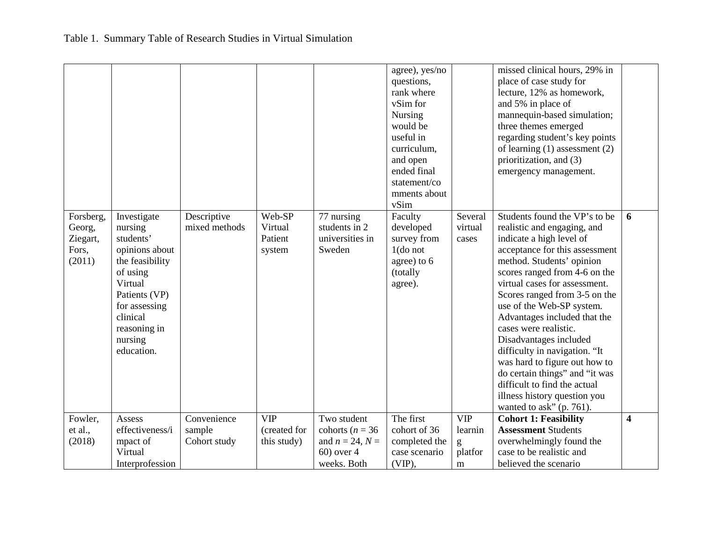|                                                    |                                                                                                                                                                                        |                                       |                                           |                                                           | agree), yes/no<br>questions,<br>rank where<br>vSim for<br><b>Nursing</b><br>would be<br>useful in<br>curriculum,<br>and open<br>ended final<br>statement/co<br>mments about<br>vSim |                             | missed clinical hours, 29% in<br>place of case study for<br>lecture, 12% as homework,<br>and 5% in place of<br>mannequin-based simulation;<br>three themes emerged<br>regarding student's key points<br>of learning $(1)$ assessment $(2)$<br>prioritization, and (3)<br>emergency management.                                                                                                                                                                                                                                                                                |   |
|----------------------------------------------------|----------------------------------------------------------------------------------------------------------------------------------------------------------------------------------------|---------------------------------------|-------------------------------------------|-----------------------------------------------------------|-------------------------------------------------------------------------------------------------------------------------------------------------------------------------------------|-----------------------------|-------------------------------------------------------------------------------------------------------------------------------------------------------------------------------------------------------------------------------------------------------------------------------------------------------------------------------------------------------------------------------------------------------------------------------------------------------------------------------------------------------------------------------------------------------------------------------|---|
| Forsberg,<br>Georg,<br>Ziegart,<br>Fors,<br>(2011) | Investigate<br>nursing<br>students'<br>opinions about<br>the feasibility<br>of using<br>Virtual<br>Patients (VP)<br>for assessing<br>clinical<br>reasoning in<br>nursing<br>education. | Descriptive<br>mixed methods          | Web-SP<br>Virtual<br>Patient<br>system    | 77 nursing<br>students in 2<br>universities in<br>Sweden  | Faculty<br>developed<br>survey from<br>$1$ (do not<br>agree) to 6<br>(totally<br>agree).                                                                                            | Several<br>virtual<br>cases | Students found the VP's to be<br>realistic and engaging, and<br>indicate a high level of<br>acceptance for this assessment<br>method. Students' opinion<br>scores ranged from 4-6 on the<br>virtual cases for assessment.<br>Scores ranged from 3-5 on the<br>use of the Web-SP system.<br>Advantages included that the<br>cases were realistic.<br>Disadvantages included<br>difficulty in navigation. "It<br>was hard to figure out how to<br>do certain things" and "it was<br>difficult to find the actual<br>illness history question you<br>wanted to ask" $(p. 761)$ . | 6 |
| Fowler,<br>et al.,<br>(2018)                       | Assess<br>effectiveness/i<br>mpact of                                                                                                                                                  | Convenience<br>sample<br>Cohort study | <b>VIP</b><br>(created for<br>this study) | Two student<br>cohorts ( $n = 36$<br>and $n = 24$ , $N =$ | The first<br>cohort of 36<br>completed the                                                                                                                                          | <b>VIP</b><br>learnin<br>g  | <b>Cohort 1: Feasibility</b><br><b>Assessment Students</b><br>overwhelmingly found the                                                                                                                                                                                                                                                                                                                                                                                                                                                                                        | 4 |
|                                                    | Virtual<br>Interprofession                                                                                                                                                             |                                       |                                           | 60) over 4<br>weeks. Both                                 | case scenario<br>$(VIP)$ ,                                                                                                                                                          | platfor<br>m                | case to be realistic and<br>believed the scenario                                                                                                                                                                                                                                                                                                                                                                                                                                                                                                                             |   |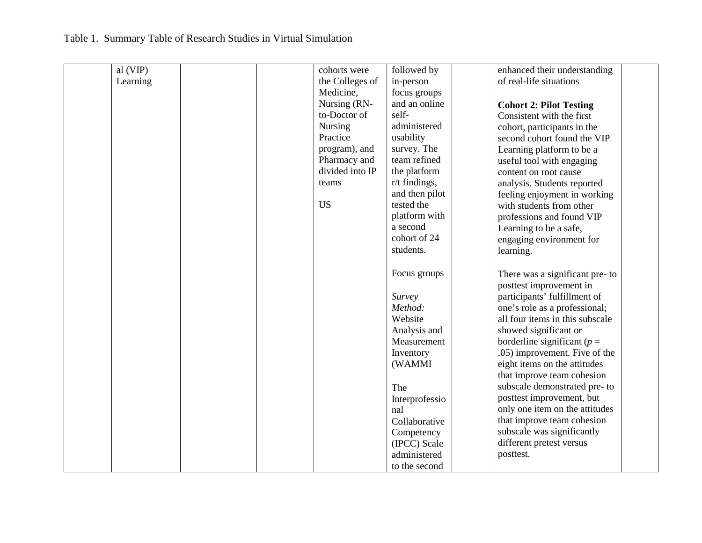## Table 1. Summary Table of Research Studies in Virtual Simulation

| al(VIP)  | cohorts were    | followed by                  | enhanced their understanding                               |  |
|----------|-----------------|------------------------------|------------------------------------------------------------|--|
| Learning | the Colleges of | in-person                    | of real-life situations                                    |  |
|          | Medicine,       | focus groups                 |                                                            |  |
|          | Nursing (RN-    | and an online                | <b>Cohort 2: Pilot Testing</b>                             |  |
|          | to-Doctor of    | self-                        | Consistent with the first                                  |  |
|          | Nursing         | administered                 |                                                            |  |
|          | Practice        | usability                    | cohort, participants in the<br>second cohort found the VIP |  |
|          | program), and   | survey. The                  |                                                            |  |
|          | Pharmacy and    | team refined                 | Learning platform to be a                                  |  |
|          | divided into IP | the platform                 | useful tool with engaging                                  |  |
|          |                 |                              | content on root cause                                      |  |
|          | teams           | $r/t$ findings,              | analysis. Students reported                                |  |
|          | <b>US</b>       | and then pilot<br>tested the | feeling enjoyment in working                               |  |
|          |                 |                              | with students from other                                   |  |
|          |                 | platform with                | professions and found VIP                                  |  |
|          |                 | a second                     | Learning to be a safe,                                     |  |
|          |                 | cohort of 24                 | engaging environment for                                   |  |
|          |                 | students.                    | learning.                                                  |  |
|          |                 |                              |                                                            |  |
|          |                 | Focus groups                 | There was a significant pre-to                             |  |
|          |                 |                              | posttest improvement in                                    |  |
|          |                 | Survey                       | participants' fulfillment of                               |  |
|          |                 | Method:                      | one's role as a professional;                              |  |
|          |                 | Website                      | all four items in this subscale                            |  |
|          |                 | Analysis and                 | showed significant or                                      |  |
|          |                 | Measurement                  | borderline significant ( $p =$                             |  |
|          |                 | Inventory                    | .05) improvement. Five of the                              |  |
|          |                 | (WAMMI                       | eight items on the attitudes                               |  |
|          |                 |                              | that improve team cohesion                                 |  |
|          |                 | The                          | subscale demonstrated pre- to                              |  |
|          |                 | Interprofessio               | posttest improvement, but                                  |  |
|          |                 | nal                          | only one item on the attitudes                             |  |
|          |                 | Collaborative                | that improve team cohesion                                 |  |
|          |                 | Competency                   | subscale was significantly                                 |  |
|          |                 | (IPCC) Scale                 | different pretest versus                                   |  |
|          |                 | administered                 | posttest.                                                  |  |
|          |                 | to the second                |                                                            |  |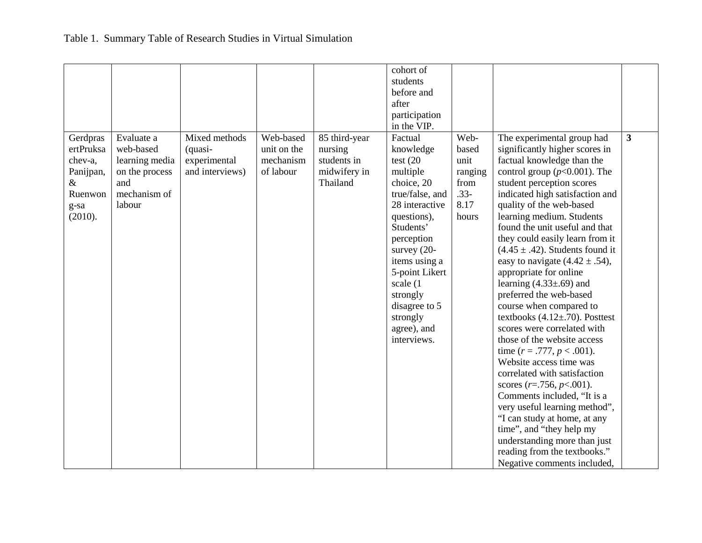|           |                |                 |             |               | cohort of       |         |                                       |              |
|-----------|----------------|-----------------|-------------|---------------|-----------------|---------|---------------------------------------|--------------|
|           |                |                 |             |               | students        |         |                                       |              |
|           |                |                 |             |               | before and      |         |                                       |              |
|           |                |                 |             |               | after           |         |                                       |              |
|           |                |                 |             |               | participation   |         |                                       |              |
|           |                |                 |             |               | in the VIP.     |         |                                       |              |
| Gerdpras  | Evaluate a     | Mixed methods   | Web-based   | 85 third-year | Factual         | Web-    | The experimental group had            | $\mathbf{3}$ |
| ertPruksa | web-based      |                 | unit on the |               |                 | based   |                                       |              |
|           |                | (quasi-         | mechanism   | nursing       | knowledge       | unit    | significantly higher scores in        |              |
| chev-a,   | learning media | experimental    |             | students in   | test $(20)$     |         | factual knowledge than the            |              |
| Panijpan, | on the process | and interviews) | of labour   | midwifery in  | multiple        | ranging | control group ( $p<0.001$ ). The      |              |
| &         | and            |                 |             | Thailand      | choice, 20      | from    | student perception scores             |              |
| Ruenwon   | mechanism of   |                 |             |               | true/false, and | $.33-$  | indicated high satisfaction and       |              |
| g-sa      | labour         |                 |             |               | 28 interactive  | 8.17    | quality of the web-based              |              |
| (2010).   |                |                 |             |               | questions),     | hours   | learning medium. Students             |              |
|           |                |                 |             |               | Students'       |         | found the unit useful and that        |              |
|           |                |                 |             |               | perception      |         | they could easily learn from it       |              |
|           |                |                 |             |               | survey $(20-$   |         | $(4.45 \pm .42)$ . Students found it  |              |
|           |                |                 |             |               | items using a   |         | easy to navigate $(4.42 \pm .54)$ ,   |              |
|           |                |                 |             |               | 5-point Likert  |         | appropriate for online                |              |
|           |                |                 |             |               | scale (1        |         | learning $(4.33\pm 0.69)$ and         |              |
|           |                |                 |             |               | strongly        |         | preferred the web-based               |              |
|           |                |                 |             |               | disagree to 5   |         | course when compared to               |              |
|           |                |                 |             |               | strongly        |         | textbooks $(4.12 \pm .70)$ . Posttest |              |
|           |                |                 |             |               | agree), and     |         | scores were correlated with           |              |
|           |                |                 |             |               | interviews.     |         | those of the website access           |              |
|           |                |                 |             |               |                 |         | time $(r = .777, p < .001)$ .         |              |
|           |                |                 |             |               |                 |         | Website access time was               |              |
|           |                |                 |             |               |                 |         | correlated with satisfaction          |              |
|           |                |                 |             |               |                 |         | scores ( $r = .756$ , $p < .001$ ).   |              |
|           |                |                 |             |               |                 |         | Comments included, "It is a           |              |
|           |                |                 |             |               |                 |         | very useful learning method",         |              |
|           |                |                 |             |               |                 |         | "I can study at home, at any          |              |
|           |                |                 |             |               |                 |         | time", and "they help my              |              |
|           |                |                 |             |               |                 |         | understanding more than just          |              |
|           |                |                 |             |               |                 |         | reading from the textbooks."          |              |
|           |                |                 |             |               |                 |         | Negative comments included,           |              |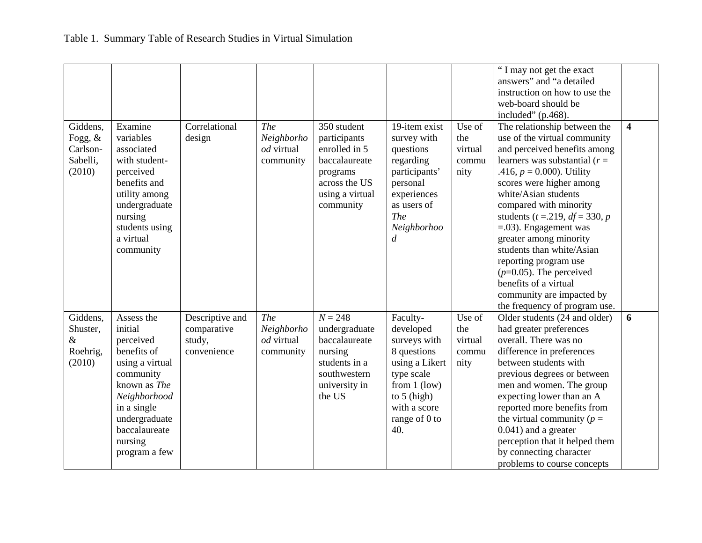|                  |                 |                 |                          |                 |                  |         | "I may not get the exact                             |                         |
|------------------|-----------------|-----------------|--------------------------|-----------------|------------------|---------|------------------------------------------------------|-------------------------|
|                  |                 |                 |                          |                 |                  |         | answers" and "a detailed                             |                         |
|                  |                 |                 |                          |                 |                  |         | instruction on how to use the                        |                         |
|                  |                 |                 |                          |                 |                  |         | web-board should be                                  |                         |
|                  |                 |                 |                          |                 |                  |         | included" (p.468).                                   |                         |
| Giddens,         | Examine         | Correlational   | <b>The</b>               | 350 student     | 19-item exist    | Use of  | The relationship between the                         | $\overline{\mathbf{4}}$ |
| Fogg, $\&$       | variables       | design          | Neighborho               | participants    | survey with      | the     | use of the virtual community                         |                         |
| Carlson-         | associated      |                 | od virtual               | enrolled in 5   | questions        | virtual | and perceived benefits among                         |                         |
| Sabelli,         | with student-   |                 | community                | baccalaureate   | regarding        | commu   | learners was substantial ( $r =$                     |                         |
| (2010)           | perceived       |                 |                          | programs        | participants'    | nity    | .416, $p = 0.000$ ). Utility                         |                         |
|                  | benefits and    |                 |                          | across the US   | personal         |         | scores were higher among                             |                         |
|                  | utility among   |                 |                          | using a virtual | experiences      |         | white/Asian students                                 |                         |
|                  | undergraduate   |                 |                          | community       | as users of      |         | compared with minority                               |                         |
|                  | nursing         |                 |                          |                 | The              |         | students ( <i>t</i> = 219, <i>df</i> = 330, <i>p</i> |                         |
|                  | students using  |                 |                          |                 | Neighborhoo      |         | $= 0.03$ . Engagement was                            |                         |
|                  | a virtual       |                 |                          |                 | $\boldsymbol{d}$ |         | greater among minority                               |                         |
|                  | community       |                 |                          |                 |                  |         | students than white/Asian                            |                         |
|                  |                 |                 |                          |                 |                  |         | reporting program use                                |                         |
|                  |                 |                 |                          |                 |                  |         | $(p=0.05)$ . The perceived                           |                         |
|                  |                 |                 |                          |                 |                  |         | benefits of a virtual                                |                         |
|                  |                 |                 |                          |                 |                  |         | community are impacted by                            |                         |
|                  |                 |                 |                          |                 |                  |         | the frequency of program use.                        |                         |
| Giddens.         | Assess the      | Descriptive and | <b>The</b>               | $N = 248$       | Faculty-         | Use of  | Older students (24 and older)                        | 6                       |
|                  | initial         |                 |                          |                 |                  | the     | had greater preferences                              |                         |
| Shuster,<br>$\&$ |                 | comparative     | Neighborho<br>od virtual | undergraduate   | developed        |         | overall. There was no                                |                         |
|                  | perceived       | study,          |                          | baccalaureate   | surveys with     | virtual |                                                      |                         |
| Roehrig,         | benefits of     | convenience     | community                | nursing         | 8 questions      | commu   | difference in preferences                            |                         |
| (2010)           | using a virtual |                 |                          | students in a   | using a Likert   | nity    | between students with                                |                         |
|                  | community       |                 |                          | southwestern    | type scale       |         | previous degrees or between                          |                         |
|                  | known as The    |                 |                          | university in   | from $1$ (low)   |         | men and women. The group                             |                         |
|                  | Neighborhood    |                 |                          | the US          | to $5$ (high)    |         | expecting lower than an A                            |                         |
|                  | in a single     |                 |                          |                 | with a score     |         | reported more benefits from                          |                         |
|                  | undergraduate   |                 |                          |                 | range of 0 to    |         | the virtual community ( $p =$                        |                         |
|                  | baccalaureate   |                 |                          |                 | 40.              |         | $0.041$ ) and a greater                              |                         |
|                  | nursing         |                 |                          |                 |                  |         | perception that it helped them                       |                         |
|                  | program a few   |                 |                          |                 |                  |         | by connecting character                              |                         |
|                  |                 |                 |                          |                 |                  |         | problems to course concepts                          |                         |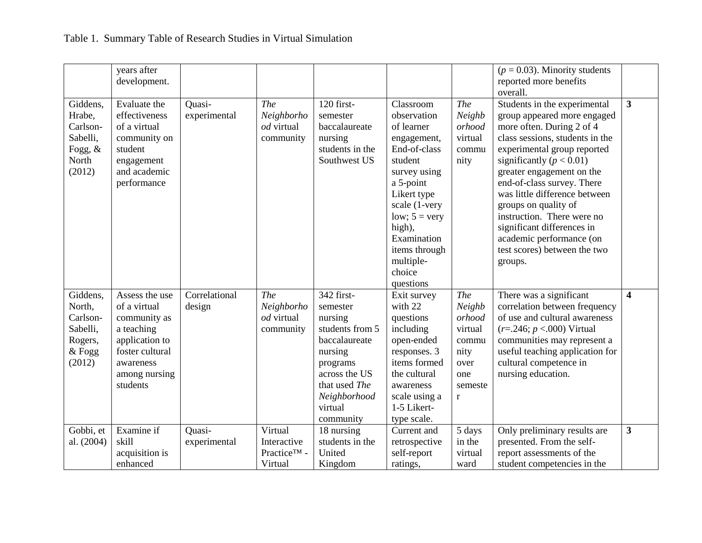|                                                                             | years after<br>development.                                                                                                                 |                         |                                                               |                                                                                                                                                                        |                                                                                                                                                                                                                                                       |                                                                                                     | $(p = 0.03)$ . Minority students<br>reported more benefits<br>overall.                                                                                                                                                                                                                                                                                                                                                                            |                         |
|-----------------------------------------------------------------------------|---------------------------------------------------------------------------------------------------------------------------------------------|-------------------------|---------------------------------------------------------------|------------------------------------------------------------------------------------------------------------------------------------------------------------------------|-------------------------------------------------------------------------------------------------------------------------------------------------------------------------------------------------------------------------------------------------------|-----------------------------------------------------------------------------------------------------|---------------------------------------------------------------------------------------------------------------------------------------------------------------------------------------------------------------------------------------------------------------------------------------------------------------------------------------------------------------------------------------------------------------------------------------------------|-------------------------|
| Giddens,<br>Hrabe,<br>Carlson-<br>Sabelli,<br>Fogg, $\&$<br>North<br>(2012) | Evaluate the<br>effectiveness<br>of a virtual<br>community on<br>student<br>engagement<br>and academic<br>performance                       | Quasi-<br>experimental  | <b>The</b><br>Neighborho<br>od virtual<br>community           | 120 first-<br>semester<br>baccalaureate<br>nursing<br>students in the<br>Southwest US                                                                                  | Classroom<br>observation<br>of learner<br>engagement,<br>End-of-class<br>student<br>survey using<br>a 5-point<br>Likert type<br>scale (1-very<br>low; $5 = \text{very}$<br>high),<br>Examination<br>items through<br>multiple-<br>choice<br>questions | <b>The</b><br>Neighb<br>orhood<br>virtual<br>commu<br>nity                                          | Students in the experimental<br>group appeared more engaged<br>more often. During 2 of 4<br>class sessions, students in the<br>experimental group reported<br>significantly ( $p < 0.01$ )<br>greater engagement on the<br>end-of-class survey. There<br>was little difference between<br>groups on quality of<br>instruction. There were no<br>significant differences in<br>academic performance (on<br>test scores) between the two<br>groups. | $\overline{\mathbf{3}}$ |
| Giddens,<br>North,<br>Carlson-<br>Sabelli,<br>Rogers,<br>& Fogg<br>(2012)   | Assess the use<br>of a virtual<br>community as<br>a teaching<br>application to<br>foster cultural<br>awareness<br>among nursing<br>students | Correlational<br>design | <b>The</b><br>Neighborho<br>od virtual<br>community           | 342 first-<br>semester<br>nursing<br>students from 5<br>baccalaureate<br>nursing<br>programs<br>across the US<br>that used The<br>Neighborhood<br>virtual<br>community | Exit survey<br>with 22<br>questions<br>including<br>open-ended<br>responses. 3<br>items formed<br>the cultural<br>awareness<br>scale using a<br>1-5 Likert-<br>type scale.                                                                            | <b>The</b><br>Neighb<br>orhood<br>virtual<br>commu<br>nity<br>over<br>one<br>semeste<br>$\mathbf r$ | There was a significant<br>correlation between frequency<br>of use and cultural awareness<br>$(r=.246; p < .000)$ Virtual<br>communities may represent a<br>useful teaching application for<br>cultural competence in<br>nursing education.                                                                                                                                                                                                       | $\overline{\mathbf{4}}$ |
| Gobbi, et<br>al. (2004)                                                     | Examine if<br>skill<br>acquisition is<br>enhanced                                                                                           | Quasi-<br>experimental  | Virtual<br>Interactive<br>Practice <sup>TM</sup> -<br>Virtual | 18 nursing<br>students in the<br>United<br>Kingdom                                                                                                                     | Current and<br>retrospective<br>self-report<br>ratings,                                                                                                                                                                                               | 5 days<br>in the<br>virtual<br>ward                                                                 | Only preliminary results are<br>presented. From the self-<br>report assessments of the<br>student competencies in the                                                                                                                                                                                                                                                                                                                             | $\overline{\mathbf{3}}$ |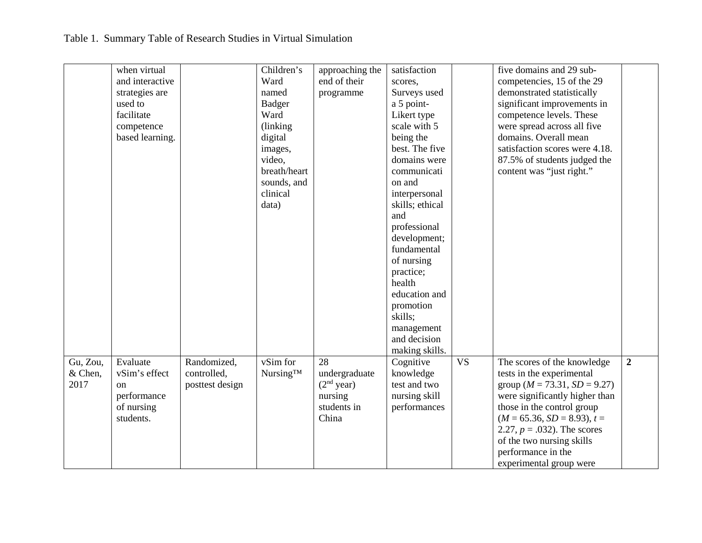|          | when virtual    |                 | Children's    | approaching the | satisfaction    |           | five domains and 29 sub-            |                  |
|----------|-----------------|-----------------|---------------|-----------------|-----------------|-----------|-------------------------------------|------------------|
|          | and interactive |                 | Ward          | end of their    | scores,         |           | competencies, 15 of the 29          |                  |
|          | strategies are  |                 | named         | programme       | Surveys used    |           | demonstrated statistically          |                  |
|          | used to         |                 | <b>Badger</b> |                 | a 5 point-      |           | significant improvements in         |                  |
|          | facilitate      |                 | Ward          |                 | Likert type     |           | competence levels. These            |                  |
|          | competence      |                 | (linking)     |                 | scale with 5    |           | were spread across all five         |                  |
|          | based learning. |                 | digital       |                 | being the       |           | domains. Overall mean               |                  |
|          |                 |                 | images,       |                 | best. The five  |           | satisfaction scores were 4.18.      |                  |
|          |                 |                 | video,        |                 | domains were    |           | 87.5% of students judged the        |                  |
|          |                 |                 | breath/heart  |                 | communicati     |           | content was "just right."           |                  |
|          |                 |                 | sounds, and   |                 | on and          |           |                                     |                  |
|          |                 |                 | clinical      |                 | interpersonal   |           |                                     |                  |
|          |                 |                 | data)         |                 | skills; ethical |           |                                     |                  |
|          |                 |                 |               |                 | and             |           |                                     |                  |
|          |                 |                 |               |                 | professional    |           |                                     |                  |
|          |                 |                 |               |                 | development;    |           |                                     |                  |
|          |                 |                 |               |                 | fundamental     |           |                                     |                  |
|          |                 |                 |               |                 | of nursing      |           |                                     |                  |
|          |                 |                 |               |                 | practice;       |           |                                     |                  |
|          |                 |                 |               |                 | health          |           |                                     |                  |
|          |                 |                 |               |                 | education and   |           |                                     |                  |
|          |                 |                 |               |                 | promotion       |           |                                     |                  |
|          |                 |                 |               |                 | skills;         |           |                                     |                  |
|          |                 |                 |               |                 | management      |           |                                     |                  |
|          |                 |                 |               |                 | and decision    |           |                                     |                  |
|          |                 |                 |               |                 | making skills.  |           |                                     |                  |
| Gu, Zou, | Evaluate        | Randomized,     | vSim for      | 28              | Cognitive       | <b>VS</b> | The scores of the knowledge         | $\boldsymbol{2}$ |
| & Chen,  | vSim's effect   | controlled,     | Nursing™      | undergraduate   | knowledge       |           | tests in the experimental           |                  |
| 2017     | <sub>on</sub>   | posttest design |               | $(2nd$ year)    | test and two    |           | group ( $M = 73.31$ , $SD = 9.27$ ) |                  |
|          | performance     |                 |               | nursing         | nursing skill   |           | were significantly higher than      |                  |
|          | of nursing      |                 |               | students in     | performances    |           | those in the control group          |                  |
|          | students.       |                 |               | China           |                 |           | $(M = 65.36, SD = 8.93), t =$       |                  |
|          |                 |                 |               |                 |                 |           | 2.27, $p = .032$ ). The scores      |                  |
|          |                 |                 |               |                 |                 |           | of the two nursing skills           |                  |
|          |                 |                 |               |                 |                 |           | performance in the                  |                  |
|          |                 |                 |               |                 |                 |           | experimental group were             |                  |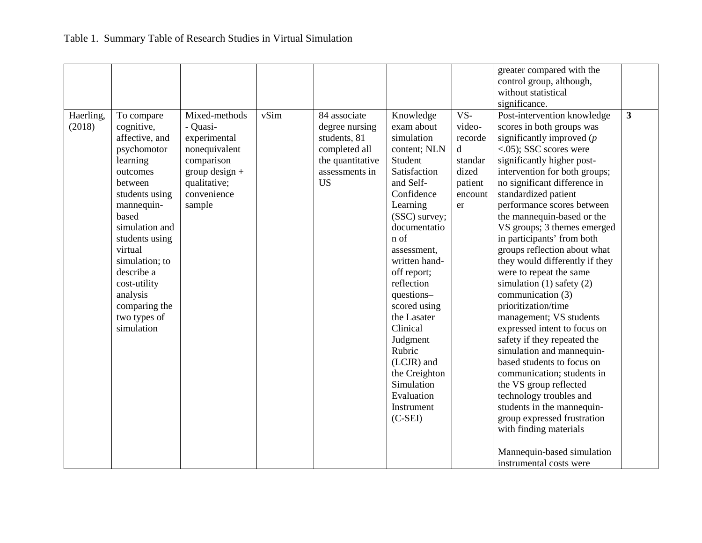|                     |                                                                                                                                                                                                                                                                                                 |                                                                                                                                       |      |                                                                                                                    |                                                                                                                                                                                                                                                                                                                                                                                                    |                                                                                         | greater compared with the<br>control group, although,<br>without statistical<br>significance.                                                                                                                                                                                                                                                                                                                                                                                                                                                                                                                                                                                                                                                                                                                                                                                                                                                         |              |
|---------------------|-------------------------------------------------------------------------------------------------------------------------------------------------------------------------------------------------------------------------------------------------------------------------------------------------|---------------------------------------------------------------------------------------------------------------------------------------|------|--------------------------------------------------------------------------------------------------------------------|----------------------------------------------------------------------------------------------------------------------------------------------------------------------------------------------------------------------------------------------------------------------------------------------------------------------------------------------------------------------------------------------------|-----------------------------------------------------------------------------------------|-------------------------------------------------------------------------------------------------------------------------------------------------------------------------------------------------------------------------------------------------------------------------------------------------------------------------------------------------------------------------------------------------------------------------------------------------------------------------------------------------------------------------------------------------------------------------------------------------------------------------------------------------------------------------------------------------------------------------------------------------------------------------------------------------------------------------------------------------------------------------------------------------------------------------------------------------------|--------------|
| Haerling,<br>(2018) | To compare<br>cognitive,<br>affective, and<br>psychomotor<br>learning<br>outcomes<br>between<br>students using<br>mannequin-<br>based<br>simulation and<br>students using<br>virtual<br>simulation; to<br>describe a<br>cost-utility<br>analysis<br>comparing the<br>two types of<br>simulation | Mixed-methods<br>- Quasi-<br>experimental<br>nonequivalent<br>comparison<br>$group$ design +<br>qualitative;<br>convenience<br>sample | vSim | 84 associate<br>degree nursing<br>students, 81<br>completed all<br>the quantitative<br>assessments in<br><b>US</b> | Knowledge<br>exam about<br>simulation<br>content; NLN<br>Student<br>Satisfaction<br>and Self-<br>Confidence<br>Learning<br>(SSC) survey;<br>documentatio<br>n of<br>assessment,<br>written hand-<br>off report;<br>reflection<br>questions-<br>scored using<br>the Lasater<br>Clinical<br>Judgment<br>Rubric<br>(LCJR) and<br>the Creighton<br>Simulation<br>Evaluation<br>Instrument<br>$(C-SEI)$ | VS-<br>video-<br>recorde<br>$\mathbf d$<br>standar<br>dized<br>patient<br>encount<br>er | Post-intervention knowledge<br>scores in both groups was<br>significantly improved $(p)$<br>$\langle .05 \rangle$ ; SSC scores were<br>significantly higher post-<br>intervention for both groups;<br>no significant difference in<br>standardized patient<br>performance scores between<br>the mannequin-based or the<br>VS groups; 3 themes emerged<br>in participants' from both<br>groups reflection about what<br>they would differently if they<br>were to repeat the same<br>simulation $(1)$ safety $(2)$<br>communication (3)<br>prioritization/time<br>management; VS students<br>expressed intent to focus on<br>safety if they repeated the<br>simulation and mannequin-<br>based students to focus on<br>communication; students in<br>the VS group reflected<br>technology troubles and<br>students in the mannequin-<br>group expressed frustration<br>with finding materials<br>Mannequin-based simulation<br>instrumental costs were | $\mathbf{3}$ |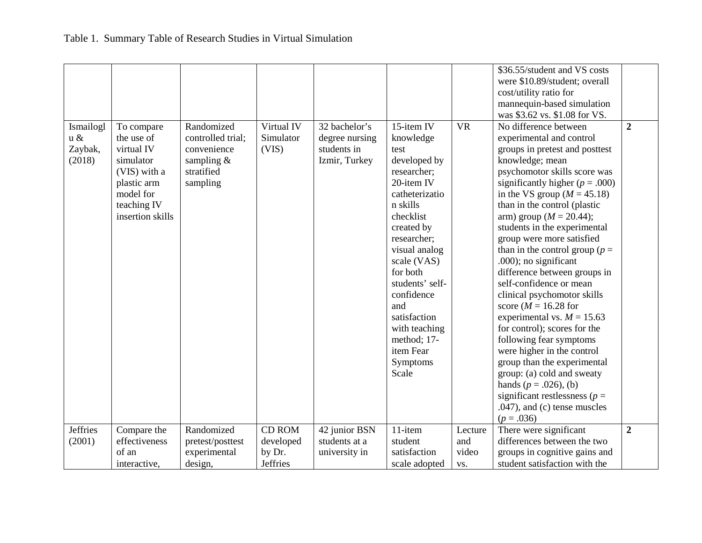|                 |                  |                   |                 |                |                 |           | \$36.55/student and VS costs        |                |
|-----------------|------------------|-------------------|-----------------|----------------|-----------------|-----------|-------------------------------------|----------------|
|                 |                  |                   |                 |                |                 |           | were \$10.89/student; overall       |                |
|                 |                  |                   |                 |                |                 |           | cost/utility ratio for              |                |
|                 |                  |                   |                 |                |                 |           | mannequin-based simulation          |                |
|                 |                  |                   |                 |                |                 |           | was \$3.62 vs. \$1.08 for VS.       |                |
| Ismailogl       | To compare       | Randomized        | Virtual IV      | 32 bachelor's  | 15-item IV      | <b>VR</b> | No difference between               | $\overline{2}$ |
| $u \&$          | the use of       | controlled trial: | Simulator       | degree nursing | knowledge       |           | experimental and control            |                |
| Zaybak,         | virtual IV       | convenience       | (VIS)           | students in    | test            |           | groups in pretest and posttest      |                |
| (2018)          | simulator        | sampling $&$      |                 | Izmir, Turkey  | developed by    |           | knowledge; mean                     |                |
|                 | (VIS) with a     | stratified        |                 |                | researcher;     |           | psychomotor skills score was        |                |
|                 | plastic arm      | sampling          |                 |                | 20-item IV      |           | significantly higher ( $p = .000$ ) |                |
|                 | model for        |                   |                 |                | catheterizatio  |           | in the VS group $(M = 45.18)$       |                |
|                 | teaching IV      |                   |                 |                | n skills        |           | than in the control (plastic        |                |
|                 | insertion skills |                   |                 |                | checklist       |           | arm) group ( $M = 20.44$ );         |                |
|                 |                  |                   |                 |                | created by      |           | students in the experimental        |                |
|                 |                  |                   |                 |                | researcher;     |           | group were more satisfied           |                |
|                 |                  |                   |                 |                | visual analog   |           | than in the control group ( $p =$   |                |
|                 |                  |                   |                 |                | scale (VAS)     |           | .000); no significant               |                |
|                 |                  |                   |                 |                | for both        |           | difference between groups in        |                |
|                 |                  |                   |                 |                | students' self- |           | self-confidence or mean             |                |
|                 |                  |                   |                 |                | confidence      |           | clinical psychomotor skills         |                |
|                 |                  |                   |                 |                | and             |           | score ( $M = 16.28$ for             |                |
|                 |                  |                   |                 |                | satisfaction    |           | experimental vs. $M = 15.63$        |                |
|                 |                  |                   |                 |                | with teaching   |           | for control); scores for the        |                |
|                 |                  |                   |                 |                | method; 17-     |           | following fear symptoms             |                |
|                 |                  |                   |                 |                | item Fear       |           | were higher in the control          |                |
|                 |                  |                   |                 |                | Symptoms        |           | group than the experimental         |                |
|                 |                  |                   |                 |                | Scale           |           | group: (a) cold and sweaty          |                |
|                 |                  |                   |                 |                |                 |           | hands ( $p = .026$ ), (b)           |                |
|                 |                  |                   |                 |                |                 |           | significant restlessness ( $p =$    |                |
|                 |                  |                   |                 |                |                 |           | $.047$ , and (c) tense muscles      |                |
|                 |                  |                   |                 |                |                 |           | $(p=.036)$                          |                |
| <b>Jeffries</b> | Compare the      | Randomized        | <b>CD ROM</b>   | 42 junior BSN  | 11-item         | Lecture   | There were significant              | $\overline{2}$ |
| (2001)          | effectiveness    | pretest/posttest  | developed       | students at a  | student         | and       | differences between the two         |                |
|                 | of an            | experimental      | by Dr.          | university in  | satisfaction    | video     | groups in cognitive gains and       |                |
|                 | interactive,     | design,           | <b>Jeffries</b> |                | scale adopted   | VS.       | student satisfaction with the       |                |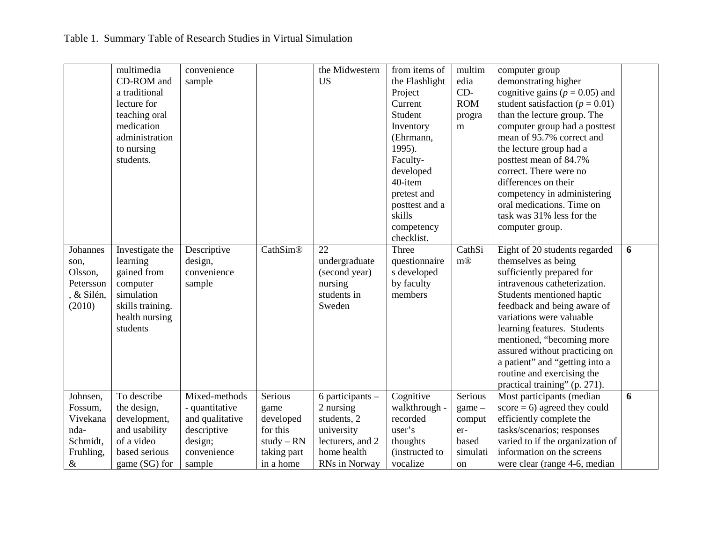|            | multimedia       | convenience     |              | the Midwestern       | from items of  | multim            | computer group                      |   |
|------------|------------------|-----------------|--------------|----------------------|----------------|-------------------|-------------------------------------|---|
|            | CD-ROM and       | sample          |              | <b>US</b>            | the Flashlight | edia              | demonstrating higher                |   |
|            | a traditional    |                 |              |                      | Project        | $CD-$             | cognitive gains ( $p = 0.05$ ) and  |   |
|            | lecture for      |                 |              |                      | Current        | <b>ROM</b>        | student satisfaction ( $p = 0.01$ ) |   |
|            | teaching oral    |                 |              |                      | Student        | progra            | than the lecture group. The         |   |
|            | medication       |                 |              |                      | Inventory      | m                 | computer group had a posttest       |   |
|            | administration   |                 |              |                      | (Ehrmann,      |                   | mean of 95.7% correct and           |   |
|            | to nursing       |                 |              |                      | 1995).         |                   | the lecture group had a             |   |
|            | students.        |                 |              |                      | Faculty-       |                   | posttest mean of 84.7%              |   |
|            |                  |                 |              |                      | developed      |                   | correct. There were no              |   |
|            |                  |                 |              |                      | 40-item        |                   | differences on their                |   |
|            |                  |                 |              |                      | pretest and    |                   | competency in administering         |   |
|            |                  |                 |              |                      | posttest and a |                   | oral medications. Time on           |   |
|            |                  |                 |              |                      | skills         |                   | task was 31% less for the           |   |
|            |                  |                 |              |                      | competency     |                   | computer group.                     |   |
|            |                  |                 |              |                      | checklist.     |                   |                                     |   |
| Johannes   | Investigate the  | Descriptive     | CathSim®     | 22                   | Three          | CathSi            | Eight of 20 students regarded       | 6 |
| son,       | learning         | design,         |              | undergraduate        | questionnaire  | $m$ <sup>®</sup>  | themselves as being                 |   |
| Olsson,    | gained from      | convenience     |              | (second year)        | s developed    |                   | sufficiently prepared for           |   |
| Petersson  | computer         | sample          |              | nursing              | by faculty     |                   | intravenous catheterization.        |   |
| , & Silén, | simulation       |                 |              | students in          | members        |                   | Students mentioned haptic           |   |
| (2010)     | skills training. |                 |              | Sweden               |                |                   | feedback and being aware of         |   |
|            | health nursing   |                 |              |                      |                |                   | variations were valuable            |   |
|            | students         |                 |              |                      |                |                   | learning features. Students         |   |
|            |                  |                 |              |                      |                |                   | mentioned, "becoming more           |   |
|            |                  |                 |              |                      |                |                   | assured without practicing on       |   |
|            |                  |                 |              |                      |                |                   | a patient" and "getting into a      |   |
|            |                  |                 |              |                      |                |                   | routine and exercising the          |   |
|            |                  |                 |              |                      |                |                   | practical training" (p. 271).       |   |
| Johnsen,   | To describe      | Mixed-methods   | Serious      | $6$ participants $-$ | Cognitive      | Serious           | Most participants (median           | 6 |
| Fossum,    |                  |                 |              | 2 nursing            | walkthrough -  |                   | $score = 6$ ) agreed they could     |   |
| Vivekana   | the design,      | - quantitative  | game         | students, 2          | recorded       | $\gamma$ game $-$ |                                     |   |
|            | development,     | and qualitative | developed    |                      |                | comput            | efficiently complete the            |   |
| nda-       | and usability    | descriptive     | for this     | university           | user's         | er-               | tasks/scenarios; responses          |   |
| Schmidt,   | of a video       | design;         | $study - RN$ | lecturers, and 2     | thoughts       | based             | varied to if the organization of    |   |
| Fruhling,  | based serious    | convenience     | taking part  | home health          | (instructed to | simulati          | information on the screens          |   |
| $\&$       | game (SG) for    | sample          | in a home    | RNs in Norway        | vocalize       | on                | were clear (range 4-6, median       |   |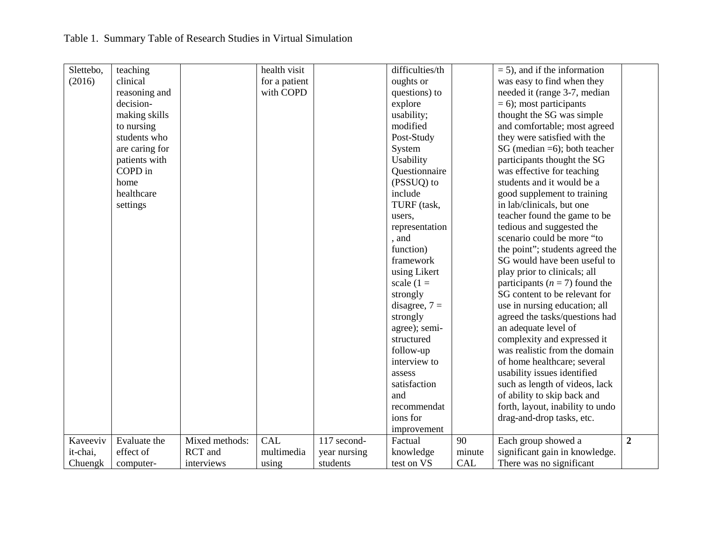| Slettebo, | teaching       |                | health visit  |              | difficulties/th |            | $= 5$ ), and if the information    |                |
|-----------|----------------|----------------|---------------|--------------|-----------------|------------|------------------------------------|----------------|
| (2016)    | clinical       |                | for a patient |              | oughts or       |            | was easy to find when they         |                |
|           | reasoning and  |                | with COPD     |              | questions) to   |            | needed it (range 3-7, median       |                |
|           | decision-      |                |               |              | explore         |            | $= 6$ ; most participants          |                |
|           | making skills  |                |               |              | usability;      |            | thought the SG was simple          |                |
|           | to nursing     |                |               |              | modified        |            | and comfortable; most agreed       |                |
|           | students who   |                |               |              | Post-Study      |            | they were satisfied with the       |                |
|           | are caring for |                |               |              | System          |            | SG (median $=6$ ); both teacher    |                |
|           | patients with  |                |               |              | Usability       |            | participants thought the SG        |                |
|           | COPD in        |                |               |              | Questionnaire   |            | was effective for teaching         |                |
|           | home           |                |               |              | (PSSUQ) to      |            | students and it would be a         |                |
|           | healthcare     |                |               |              | include         |            | good supplement to training        |                |
|           | settings       |                |               |              | TURF (task,     |            | in lab/clinicals, but one          |                |
|           |                |                |               |              | users.          |            | teacher found the game to be       |                |
|           |                |                |               |              | representation  |            | tedious and suggested the          |                |
|           |                |                |               |              | , and           |            | scenario could be more "to         |                |
|           |                |                |               |              | function)       |            | the point"; students agreed the    |                |
|           |                |                |               |              | framework       |            | SG would have been useful to       |                |
|           |                |                |               |              | using Likert    |            | play prior to clinicals; all       |                |
|           |                |                |               |              | scale $(1 =$    |            | participants ( $n = 7$ ) found the |                |
|           |                |                |               |              | strongly        |            | SG content to be relevant for      |                |
|           |                |                |               |              | disagree, $7 =$ |            | use in nursing education; all      |                |
|           |                |                |               |              | strongly        |            | agreed the tasks/questions had     |                |
|           |                |                |               |              | agree); semi-   |            | an adequate level of               |                |
|           |                |                |               |              | structured      |            | complexity and expressed it        |                |
|           |                |                |               |              | follow-up       |            | was realistic from the domain      |                |
|           |                |                |               |              | interview to    |            | of home healthcare; several        |                |
|           |                |                |               |              | assess          |            | usability issues identified        |                |
|           |                |                |               |              | satisfaction    |            | such as length of videos, lack     |                |
|           |                |                |               |              | and             |            | of ability to skip back and        |                |
|           |                |                |               |              | recommendat     |            | forth, layout, inability to undo   |                |
|           |                |                |               |              | ions for        |            | drag-and-drop tasks, etc.          |                |
|           |                |                |               |              | improvement     |            |                                    |                |
| Kaveeviv  | Evaluate the   | Mixed methods: | <b>CAL</b>    | 117 second-  | Factual         | 90         | Each group showed a                | $\overline{2}$ |
| it-chai,  | effect of      | RCT and        | multimedia    | year nursing | knowledge       | minute     | significant gain in knowledge.     |                |
| Chuengk   | computer-      | interviews     | using         | students     | test on VS      | <b>CAL</b> | There was no significant           |                |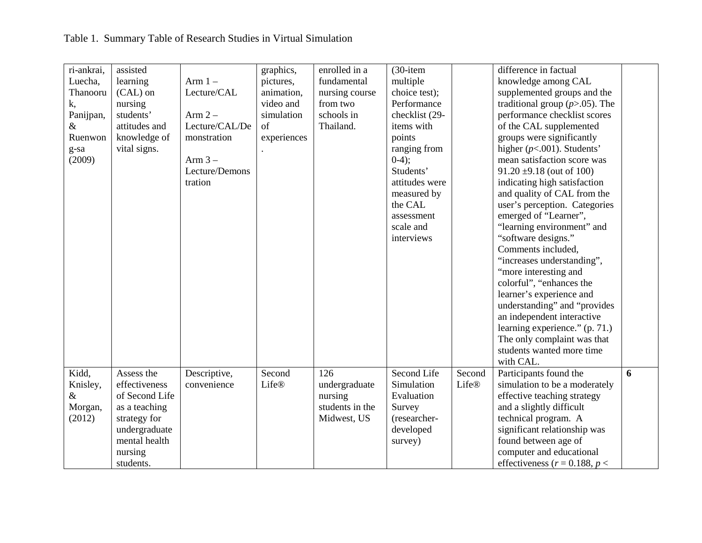| ri-ankrai,             | assisted       |                | graphics,    | enrolled in a   | $(30$ -item        |        | difference in factual               |   |
|------------------------|----------------|----------------|--------------|-----------------|--------------------|--------|-------------------------------------|---|
| Luecha,                | learning       | Arm $1-$       | pictures,    | fundamental     | multiple           |        | knowledge among CAL                 |   |
| Thanooru               | (CAL) on       | Lecture/CAL    | animation,   | nursing course  | choice test);      |        | supplemented groups and the         |   |
| k,                     | nursing        |                | video and    | from two        | Performance        |        | traditional group $(p>0.05)$ . The  |   |
| Panijpan,              | students'      | Arm $2-$       | simulation   | schools in      | checklist (29-     |        | performance checklist scores        |   |
| $\&$                   | attitudes and  | Lecture/CAL/De | of           | Thailand.       | items with         |        | of the CAL supplemented             |   |
| Ruenwon                | knowledge of   | monstration    | experiences  |                 | points             |        | groups were significantly           |   |
| $g\text{-}\mathrm{sa}$ | vital signs.   |                |              |                 | ranging from       |        | higher $(p<.001)$ . Students'       |   |
| (2009)                 |                | Arm $3-$       |              |                 | $0-4);$            |        | mean satisfaction score was         |   |
|                        |                | Lecture/Demons |              |                 | Students'          |        | $91.20 \pm 9.18$ (out of 100)       |   |
|                        |                | tration        |              |                 | attitudes were     |        | indicating high satisfaction        |   |
|                        |                |                |              |                 | measured by        |        | and quality of CAL from the         |   |
|                        |                |                |              |                 | the CAL            |        | user's perception. Categories       |   |
|                        |                |                |              |                 | assessment         |        | emerged of "Learner",               |   |
|                        |                |                |              |                 | scale and          |        | "learning environment" and          |   |
|                        |                |                |              |                 | interviews         |        | "software designs."                 |   |
|                        |                |                |              |                 |                    |        | Comments included,                  |   |
|                        |                |                |              |                 |                    |        | "increases understanding",          |   |
|                        |                |                |              |                 |                    |        | "more interesting and               |   |
|                        |                |                |              |                 |                    |        | colorful", "enhances the            |   |
|                        |                |                |              |                 |                    |        | learner's experience and            |   |
|                        |                |                |              |                 |                    |        | understanding" and "provides        |   |
|                        |                |                |              |                 |                    |        | an independent interactive          |   |
|                        |                |                |              |                 |                    |        | learning experience." (p. 71.)      |   |
|                        |                |                |              |                 |                    |        | The only complaint was that         |   |
|                        |                |                |              |                 |                    |        | students wanted more time           |   |
|                        |                |                |              |                 |                    |        | with CAL.                           |   |
| Kidd,                  | Assess the     | Descriptive,   | Second       | 126             | <b>Second Life</b> | Second | Participants found the              | 6 |
| Knisley,               | effectiveness  | convenience    | <b>Life®</b> | undergraduate   | Simulation         | Life®  | simulation to be a moderately       |   |
| &                      | of Second Life |                |              | nursing         | Evaluation         |        | effective teaching strategy         |   |
| Morgan,                | as a teaching  |                |              | students in the | Survey             |        | and a slightly difficult            |   |
| (2012)                 | strategy for   |                |              | Midwest, US     | (researcher-       |        | technical program. A                |   |
|                        | undergraduate  |                |              |                 | developed          |        | significant relationship was        |   |
|                        | mental health  |                |              |                 | survey)            |        | found between age of                |   |
|                        | nursing        |                |              |                 |                    |        | computer and educational            |   |
|                        | students.      |                |              |                 |                    |        | effectiveness ( $r = 0.188$ , $p <$ |   |
|                        |                |                |              |                 |                    |        |                                     |   |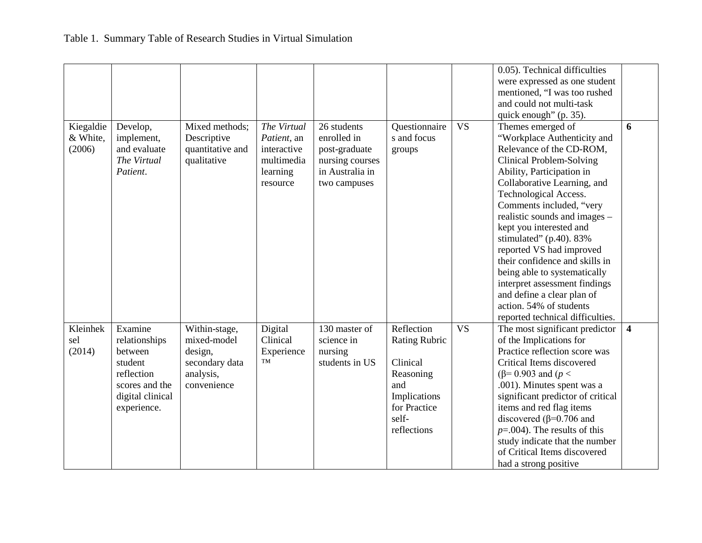|           |                  |                  |             |                 |                      |           | 0.05). Technical difficulties     |                         |
|-----------|------------------|------------------|-------------|-----------------|----------------------|-----------|-----------------------------------|-------------------------|
|           |                  |                  |             |                 |                      |           | were expressed as one student     |                         |
|           |                  |                  |             |                 |                      |           | mentioned, "I was too rushed      |                         |
|           |                  |                  |             |                 |                      |           | and could not multi-task          |                         |
|           |                  |                  |             |                 |                      |           | quick enough" (p. 35).            |                         |
| Kiegaldie | Develop,         | Mixed methods;   | The Virtual | 26 students     | Questionnaire        | <b>VS</b> | Themes emerged of                 | 6                       |
| & White,  | implement,       | Descriptive      | Patient, an | enrolled in     | s and focus          |           | "Workplace Authenticity and       |                         |
| (2006)    | and evaluate     | quantitative and | interactive | post-graduate   |                      |           | Relevance of the CD-ROM,          |                         |
|           | The Virtual      |                  | multimedia  |                 | groups               |           |                                   |                         |
|           |                  | qualitative      |             | nursing courses |                      |           | Clinical Problem-Solving          |                         |
|           | Patient.         |                  | learning    | in Australia in |                      |           | Ability, Participation in         |                         |
|           |                  |                  | resource    | two campuses    |                      |           | Collaborative Learning, and       |                         |
|           |                  |                  |             |                 |                      |           | <b>Technological Access.</b>      |                         |
|           |                  |                  |             |                 |                      |           | Comments included, "very          |                         |
|           |                  |                  |             |                 |                      |           | realistic sounds and images -     |                         |
|           |                  |                  |             |                 |                      |           | kept you interested and           |                         |
|           |                  |                  |             |                 |                      |           | stimulated" (p.40). 83%           |                         |
|           |                  |                  |             |                 |                      |           | reported VS had improved          |                         |
|           |                  |                  |             |                 |                      |           | their confidence and skills in    |                         |
|           |                  |                  |             |                 |                      |           | being able to systematically      |                         |
|           |                  |                  |             |                 |                      |           | interpret assessment findings     |                         |
|           |                  |                  |             |                 |                      |           | and define a clear plan of        |                         |
|           |                  |                  |             |                 |                      |           | action. 54% of students           |                         |
|           |                  |                  |             |                 |                      |           | reported technical difficulties.  |                         |
| Kleinhek  | Examine          | Within-stage,    | Digital     | 130 master of   | Reflection           | <b>VS</b> | The most significant predictor    | $\overline{\mathbf{4}}$ |
| sel       | relationships    | mixed-model      | Clinical    | science in      | <b>Rating Rubric</b> |           | of the Implications for           |                         |
| (2014)    | between          | design,          | Experience  | nursing         |                      |           | Practice reflection score was     |                         |
|           | student          | secondary data   | TM          | students in US  | Clinical             |           | Critical Items discovered         |                         |
|           | reflection       | analysis,        |             |                 | Reasoning            |           | $(β=0.903$ and $(p <$             |                         |
|           | scores and the   | convenience      |             |                 | and                  |           | .001). Minutes spent was a        |                         |
|           | digital clinical |                  |             |                 | Implications         |           | significant predictor of critical |                         |
|           | experience.      |                  |             |                 | for Practice         |           | items and red flag items          |                         |
|           |                  |                  |             |                 | self-                |           | discovered ( $\beta$ =0.706 and   |                         |
|           |                  |                  |             |                 | reflections          |           | $p=.004$ ). The results of this   |                         |
|           |                  |                  |             |                 |                      |           | study indicate that the number    |                         |
|           |                  |                  |             |                 |                      |           | of Critical Items discovered      |                         |
|           |                  |                  |             |                 |                      |           |                                   |                         |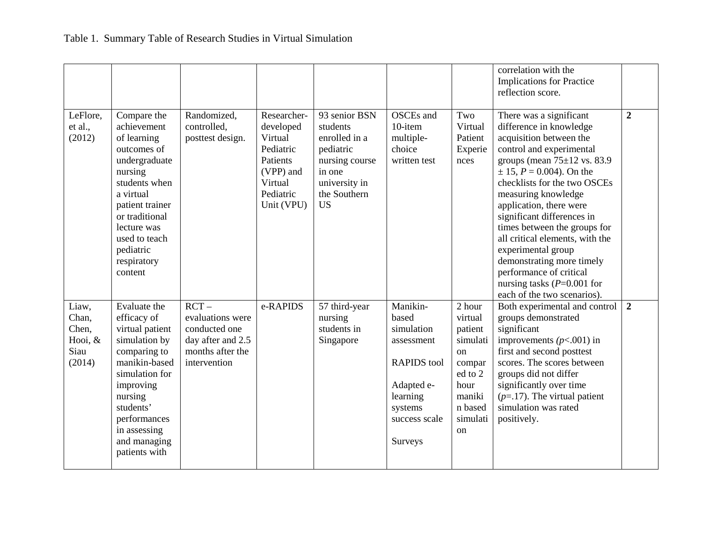|                                                        |                                                                                                                                                                                                                                |                                                                                                       |                                                                                                                 |                                                                                                                                   |                                                                                                                                      |                                                                                                                    | correlation with the<br><b>Implications for Practice</b><br>reflection score.                                                                                                                                                                                                                                                                                                                                                                                                                                    |                |
|--------------------------------------------------------|--------------------------------------------------------------------------------------------------------------------------------------------------------------------------------------------------------------------------------|-------------------------------------------------------------------------------------------------------|-----------------------------------------------------------------------------------------------------------------|-----------------------------------------------------------------------------------------------------------------------------------|--------------------------------------------------------------------------------------------------------------------------------------|--------------------------------------------------------------------------------------------------------------------|------------------------------------------------------------------------------------------------------------------------------------------------------------------------------------------------------------------------------------------------------------------------------------------------------------------------------------------------------------------------------------------------------------------------------------------------------------------------------------------------------------------|----------------|
| LeFlore,<br>et al.,<br>(2012)                          | Compare the<br>achievement<br>of learning<br>outcomes of<br>undergraduate<br>nursing<br>students when<br>a virtual<br>patient trainer<br>or traditional<br>lecture was<br>used to teach<br>pediatric<br>respiratory<br>content | Randomized,<br>controlled,<br>posttest design.                                                        | Researcher-<br>developed<br>Virtual<br>Pediatric<br>Patients<br>(VPP) and<br>Virtual<br>Pediatric<br>Unit (VPU) | 93 senior BSN<br>students<br>enrolled in a<br>pediatric<br>nursing course<br>in one<br>university in<br>the Southern<br><b>US</b> | OSCEs and<br>10-item<br>multiple-<br>choice<br>written test                                                                          | Two<br>Virtual<br>Patient<br>Experie<br>nces                                                                       | There was a significant<br>difference in knowledge<br>acquisition between the<br>control and experimental<br>groups (mean $75\pm12$ vs. 83.9<br>$\pm$ 15, $P = 0.004$ ). On the<br>checklists for the two OSCEs<br>measuring knowledge<br>application, there were<br>significant differences in<br>times between the groups for<br>all critical elements, with the<br>experimental group<br>demonstrating more timely<br>performance of critical<br>nursing tasks ( $P=0.001$ for<br>each of the two scenarios). | $\overline{2}$ |
| Liaw,<br>Chan,<br>Chen,<br>Hooi, $&$<br>Siau<br>(2014) | Evaluate the<br>efficacy of<br>virtual patient<br>simulation by<br>comparing to<br>manikin-based<br>simulation for<br>improving<br>nursing<br>students'<br>performances<br>in assessing<br>and managing<br>patients with       | $RCT -$<br>evaluations were<br>conducted one<br>day after and 2.5<br>months after the<br>intervention | e-RAPIDS                                                                                                        | 57 third-year<br>nursing<br>students in<br>Singapore                                                                              | Manikin-<br>based<br>simulation<br>assessment<br><b>RAPIDS</b> tool<br>Adapted e-<br>learning<br>systems<br>success scale<br>Surveys | 2 hour<br>virtual<br>patient<br>simulati<br>on<br>compar<br>ed to 2<br>hour<br>maniki<br>n based<br>simulati<br>on | Both experimental and control<br>groups demonstrated<br>significant<br>improvements $(p<.001)$ in<br>first and second posttest<br>scores. The scores between<br>groups did not differ<br>significantly over time<br>$(p=17)$ . The virtual patient<br>simulation was rated<br>positively.                                                                                                                                                                                                                        | $\overline{2}$ |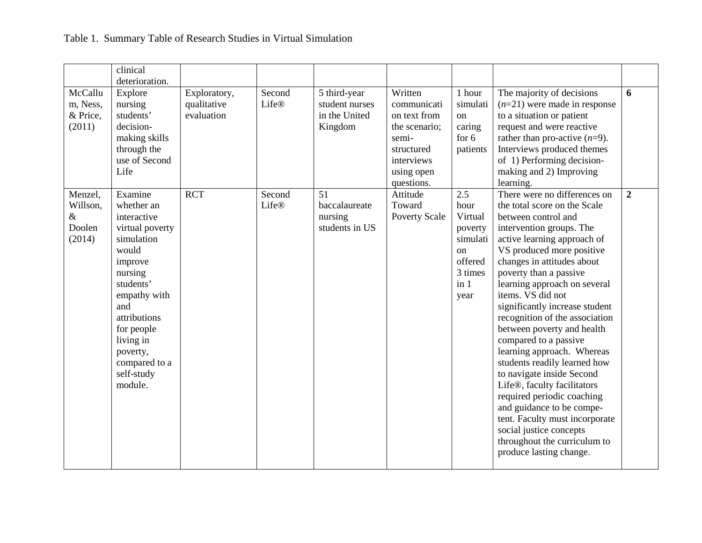|                                                 | clinical<br>deterioration.                                                                                                                                                                                                                |                                           |                        |                                                            |                                                                                                                          |                                                                                                      |                                                                                                                                                                                                                                                                                                                                                                                                                                                                                                                                                                                                                                                                                                                                  |                |
|-------------------------------------------------|-------------------------------------------------------------------------------------------------------------------------------------------------------------------------------------------------------------------------------------------|-------------------------------------------|------------------------|------------------------------------------------------------|--------------------------------------------------------------------------------------------------------------------------|------------------------------------------------------------------------------------------------------|----------------------------------------------------------------------------------------------------------------------------------------------------------------------------------------------------------------------------------------------------------------------------------------------------------------------------------------------------------------------------------------------------------------------------------------------------------------------------------------------------------------------------------------------------------------------------------------------------------------------------------------------------------------------------------------------------------------------------------|----------------|
| McCallu<br>m, Ness,<br>& Price,<br>(2011)       | Explore<br>nursing<br>students'<br>decision-<br>making skills<br>through the<br>use of Second<br>Life                                                                                                                                     | Exploratory,<br>qualitative<br>evaluation | Second<br><b>Life®</b> | 5 third-year<br>student nurses<br>in the United<br>Kingdom | Written<br>communicati<br>on text from<br>the scenario;<br>semi-<br>structured<br>interviews<br>using open<br>questions. | 1 hour<br>simulati<br>on<br>caring<br>for $6$<br>patients                                            | The majority of decisions<br>$(n=21)$ were made in response<br>to a situation or patient<br>request and were reactive<br>rather than pro-active $(n=9)$ .<br>Interviews produced themes<br>of 1) Performing decision-<br>making and 2) Improving<br>learning.                                                                                                                                                                                                                                                                                                                                                                                                                                                                    | 6              |
| Menzel,<br>Willson,<br>$\&$<br>Doolen<br>(2014) | Examine<br>whether an<br>interactive<br>virtual poverty<br>simulation<br>would<br>improve<br>nursing<br>students'<br>empathy with<br>and<br>attributions<br>for people<br>living in<br>poverty,<br>compared to a<br>self-study<br>module. | <b>RCT</b>                                | Second<br><b>Life®</b> | 51<br>baccalaureate<br>nursing<br>students in US           | Attitude<br>Toward<br><b>Poverty Scale</b>                                                                               | 2.5<br>hour<br>Virtual<br>poverty<br>simulati<br><sub>on</sub><br>offered<br>3 times<br>in 1<br>year | There were no differences on<br>the total score on the Scale<br>between control and<br>intervention groups. The<br>active learning approach of<br>VS produced more positive<br>changes in attitudes about<br>poverty than a passive<br>learning approach on several<br>items. VS did not<br>significantly increase student<br>recognition of the association<br>between poverty and health<br>compared to a passive<br>learning approach. Whereas<br>students readily learned how<br>to navigate inside Second<br>Life®, faculty facilitators<br>required periodic coaching<br>and guidance to be compe-<br>tent. Faculty must incorporate<br>social justice concepts<br>throughout the curriculum to<br>produce lasting change. | $\overline{2}$ |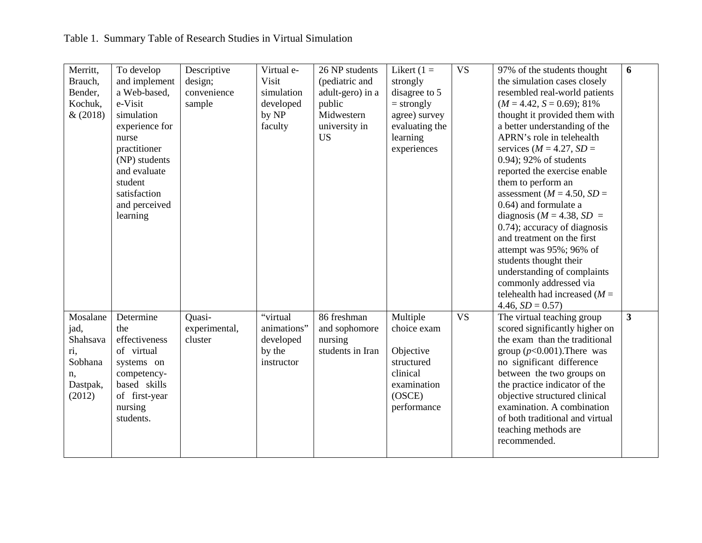| Merritt,<br>Brauch, | To develop<br>and implement   | Descriptive<br>design;   | Virtual e-<br>Visit      | 26 NP students<br>(pediatric and | Likert $(1 =$<br>strongly | $\overline{\text{VS}}$ | 97% of the students thought<br>the simulation cases closely     | 6                       |
|---------------------|-------------------------------|--------------------------|--------------------------|----------------------------------|---------------------------|------------------------|-----------------------------------------------------------------|-------------------------|
| Bender,             | a Web-based,                  | convenience              | simulation               | adult-gero) in a                 | disagree to 5             |                        | resembled real-world patients                                   |                         |
| Kochuk,             | e-Visit                       | sample                   | developed                | public                           | $=$ strongly              |                        | $(M = 4.42, S = 0.69); 81\%$                                    |                         |
| &(2018)             | simulation                    |                          | by NP                    | Midwestern                       | agree) survey             |                        | thought it provided them with                                   |                         |
|                     | experience for                |                          | faculty                  | university in                    | evaluating the            |                        | a better understanding of the                                   |                         |
|                     | nurse                         |                          |                          | <b>US</b>                        | learning                  |                        | APRN's role in telehealth                                       |                         |
|                     | practitioner<br>(NP) students |                          |                          |                                  | experiences               |                        | services ( $M = 4.27$ , $SD =$<br>0.94); 92% of students        |                         |
|                     | and evaluate                  |                          |                          |                                  |                           |                        | reported the exercise enable                                    |                         |
|                     | student                       |                          |                          |                                  |                           |                        | them to perform an                                              |                         |
|                     | satisfaction                  |                          |                          |                                  |                           |                        | assessment ( $M = 4.50$ , $SD =$                                |                         |
|                     | and perceived                 |                          |                          |                                  |                           |                        | 0.64) and formulate a                                           |                         |
|                     | learning                      |                          |                          |                                  |                           |                        | diagnosis ( $M = 4.38$ , $SD =$                                 |                         |
|                     |                               |                          |                          |                                  |                           |                        | 0.74); accuracy of diagnosis<br>and treatment on the first      |                         |
|                     |                               |                          |                          |                                  |                           |                        | attempt was 95%; 96% of                                         |                         |
|                     |                               |                          |                          |                                  |                           |                        | students thought their                                          |                         |
|                     |                               |                          |                          |                                  |                           |                        | understanding of complaints                                     |                         |
|                     |                               |                          |                          |                                  |                           |                        | commonly addressed via                                          |                         |
|                     |                               |                          |                          |                                  |                           |                        | telehealth had increased $(M =$                                 |                         |
|                     |                               |                          |                          |                                  |                           |                        | $4.46, SD = 0.57$                                               |                         |
| Mosalane            | Determine<br>the              | Quasi-                   | "virtual                 | 86 freshman                      | Multiple                  | <b>VS</b>              | The virtual teaching group                                      | $\overline{\mathbf{3}}$ |
| jad,<br>Shahsava    | effectiveness                 | experimental,<br>cluster | animations"<br>developed | and sophomore<br>nursing         | choice exam               |                        | scored significantly higher on<br>the exam than the traditional |                         |
| ri,                 | of virtual                    |                          | by the                   | students in Iran                 | Objective                 |                        | group $(p<0.001)$ . There was                                   |                         |
| Sobhana             | systems on                    |                          | instructor               |                                  | structured                |                        | no significant difference                                       |                         |
| n,                  | competency-                   |                          |                          |                                  | clinical                  |                        | between the two groups on                                       |                         |
| Dastpak,            | based skills                  |                          |                          |                                  | examination               |                        | the practice indicator of the                                   |                         |
| (2012)              | of first-year                 |                          |                          |                                  | (OSCE)                    |                        | objective structured clinical                                   |                         |
|                     | nursing                       |                          |                          |                                  | performance               |                        | examination. A combination                                      |                         |
|                     | students.                     |                          |                          |                                  |                           |                        | of both traditional and virtual<br>teaching methods are         |                         |
|                     |                               |                          |                          |                                  |                           |                        | recommended.                                                    |                         |
|                     |                               |                          |                          |                                  |                           |                        |                                                                 |                         |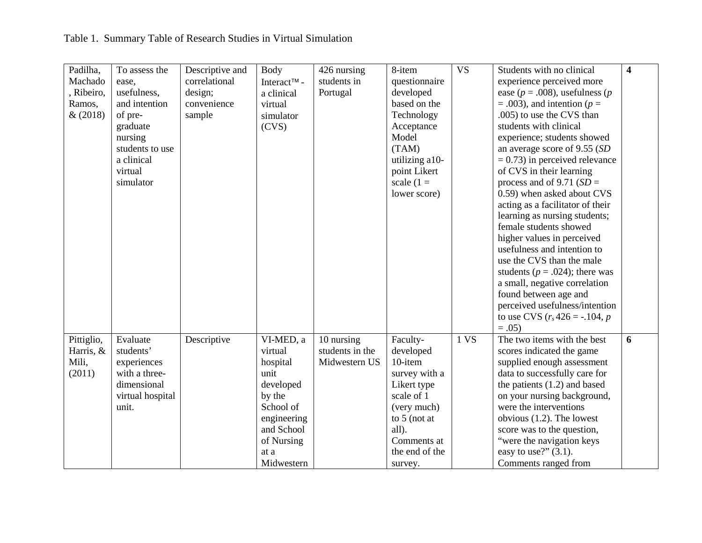| Padilha,   | To assess the    | Descriptive and | Body                    | 426 nursing     | 8-item         | <b>VS</b> | Students with no clinical             | $\overline{\mathbf{4}}$ |
|------------|------------------|-----------------|-------------------------|-----------------|----------------|-----------|---------------------------------------|-------------------------|
| Machado    | ease,            | correlational   | Interact <sup>™</sup> - | students in     | questionnaire  |           | experience perceived more             |                         |
| , Ribeiro, | usefulness,      | design;         | a clinical              | Portugal        | developed      |           | ease ( $p = .008$ ), usefulness ( $p$ |                         |
| Ramos,     | and intention    | convenience     | virtual                 |                 | based on the   |           | $= .003$ , and intention ( $p =$      |                         |
| &(2018)    | of pre-          | sample          | simulator               |                 | Technology     |           | .005) to use the CVS than             |                         |
|            | graduate         |                 | (CVS)                   |                 | Acceptance     |           | students with clinical                |                         |
|            | nursing          |                 |                         |                 | Model          |           | experience; students showed           |                         |
|            | students to use  |                 |                         |                 | (TAM)          |           | an average score of 9.55 (SD          |                         |
|            | a clinical       |                 |                         |                 | utilizing a10- |           | $= 0.73$ ) in perceived relevance     |                         |
|            | virtual          |                 |                         |                 | point Likert   |           | of CVS in their learning              |                         |
|            | simulator        |                 |                         |                 | scale $(1 =$   |           | process and of 9.71 ( $SD =$          |                         |
|            |                  |                 |                         |                 | lower score)   |           | 0.59) when asked about CVS            |                         |
|            |                  |                 |                         |                 |                |           | acting as a facilitator of their      |                         |
|            |                  |                 |                         |                 |                |           | learning as nursing students;         |                         |
|            |                  |                 |                         |                 |                |           | female students showed                |                         |
|            |                  |                 |                         |                 |                |           | higher values in perceived            |                         |
|            |                  |                 |                         |                 |                |           | usefulness and intention to           |                         |
|            |                  |                 |                         |                 |                |           | use the CVS than the male             |                         |
|            |                  |                 |                         |                 |                |           | students ( $p = .024$ ); there was    |                         |
|            |                  |                 |                         |                 |                |           | a small, negative correlation         |                         |
|            |                  |                 |                         |                 |                |           | found between age and                 |                         |
|            |                  |                 |                         |                 |                |           | perceived usefulness/intention        |                         |
|            |                  |                 |                         |                 |                |           | to use CVS $(r_s 426 = -.104, p$      |                         |
|            |                  |                 |                         |                 |                |           | $=.05)$                               |                         |
| Pittiglio, | Evaluate         | Descriptive     | VI-MED, a               | 10 nursing      | Faculty-       | 1 VS      | The two items with the best           | 6                       |
| Harris, &  | students'        |                 | virtual                 | students in the | developed      |           | scores indicated the game             |                         |
| Mili,      | experiences      |                 | hospital                | Midwestern US   | 10-item        |           | supplied enough assessment            |                         |
| (2011)     | with a three-    |                 | unit                    |                 | survey with a  |           | data to successfully care for         |                         |
|            | dimensional      |                 | developed               |                 | Likert type    |           | the patients $(1.2)$ and based        |                         |
|            | virtual hospital |                 | by the                  |                 | scale of 1     |           | on your nursing background,           |                         |
|            | unit.            |                 | School of               |                 | (very much)    |           | were the interventions                |                         |
|            |                  |                 | engineering             |                 | to $5$ (not at |           | obvious $(1.2)$ . The lowest          |                         |
|            |                  |                 | and School              |                 | all).          |           | score was to the question,            |                         |
|            |                  |                 | of Nursing              |                 | Comments at    |           | "were the navigation keys             |                         |
|            |                  |                 | at a                    |                 | the end of the |           | easy to use?" $(3.1)$ .               |                         |
|            |                  |                 |                         |                 |                |           |                                       |                         |
|            |                  |                 | Midwestern              |                 | survey.        |           | Comments ranged from                  |                         |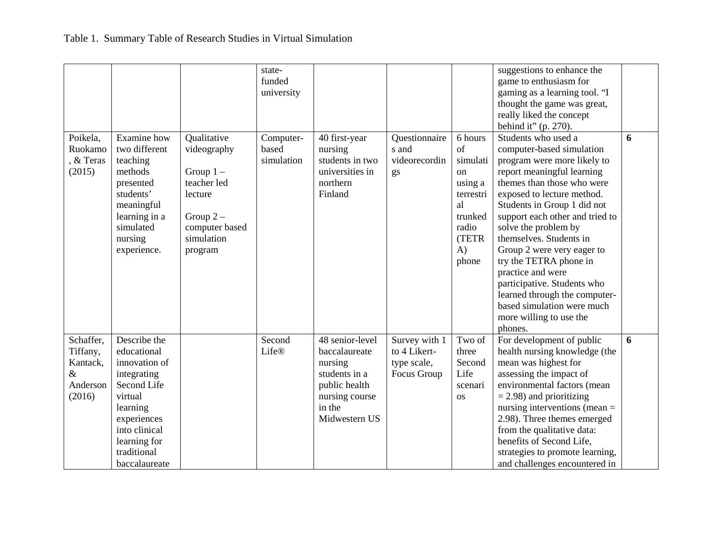|                                                                 |                                                                                                                                                                                   |                                                                                                                              | state-<br>funded<br>university   |                                                                                                                            |                                                             |                                                                                                                 | suggestions to enhance the<br>game to enthusiasm for<br>gaming as a learning tool. "I<br>thought the game was great,<br>really liked the concept<br>behind it" $(p. 270)$ .                                                                                                                                                                                                                                                                                                                                     |   |
|-----------------------------------------------------------------|-----------------------------------------------------------------------------------------------------------------------------------------------------------------------------------|------------------------------------------------------------------------------------------------------------------------------|----------------------------------|----------------------------------------------------------------------------------------------------------------------------|-------------------------------------------------------------|-----------------------------------------------------------------------------------------------------------------|-----------------------------------------------------------------------------------------------------------------------------------------------------------------------------------------------------------------------------------------------------------------------------------------------------------------------------------------------------------------------------------------------------------------------------------------------------------------------------------------------------------------|---|
| Poikela,<br>Ruokamo<br>, & Teras<br>(2015)                      | Examine how<br>two different<br>teaching<br>methods<br>presented<br>students'<br>meaningful<br>learning in a<br>simulated<br>nursing<br>experience.                               | Qualitative<br>videography<br>Group $1 -$<br>teacher led<br>lecture<br>Group $2-$<br>computer based<br>simulation<br>program | Computer-<br>based<br>simulation | 40 first-year<br>nursing<br>students in two<br>universities in<br>northern<br>Finland                                      | Questionnaire<br>s and<br>videorecordin<br>gs               | 6 hours<br>of<br>simulati<br>on<br>using a<br>terrestri<br>al<br>trunked<br>radio<br>(TETR<br>$\bf{A}$<br>phone | Students who used a<br>computer-based simulation<br>program were more likely to<br>report meaningful learning<br>themes than those who were<br>exposed to lecture method.<br>Students in Group 1 did not<br>support each other and tried to<br>solve the problem by<br>themselves. Students in<br>Group 2 were very eager to<br>try the TETRA phone in<br>practice and were<br>participative. Students who<br>learned through the computer-<br>based simulation were much<br>more willing to use the<br>phones. | 6 |
| Schaffer,<br>Tiffany,<br>Kantack,<br>$\&$<br>Anderson<br>(2016) | Describe the<br>educational<br>innovation of<br>integrating<br>Second Life<br>virtual<br>learning<br>experiences<br>into clinical<br>learning for<br>traditional<br>baccalaureate |                                                                                                                              | Second<br><b>Life®</b>           | 48 senior-level<br>baccalaureate<br>nursing<br>students in a<br>public health<br>nursing course<br>in the<br>Midwestern US | Survey with 1<br>to 4 Likert-<br>type scale,<br>Focus Group | Two of<br>three<br>Second<br>Life<br>scenari<br><b>OS</b>                                                       | For development of public<br>health nursing knowledge (the<br>mean was highest for<br>assessing the impact of<br>environmental factors (mean<br>$=$ 2.98) and prioritizing<br>nursing interventions (mean $=$<br>2.98). Three themes emerged<br>from the qualitative data:<br>benefits of Second Life,<br>strategies to promote learning,<br>and challenges encountered in                                                                                                                                      | 6 |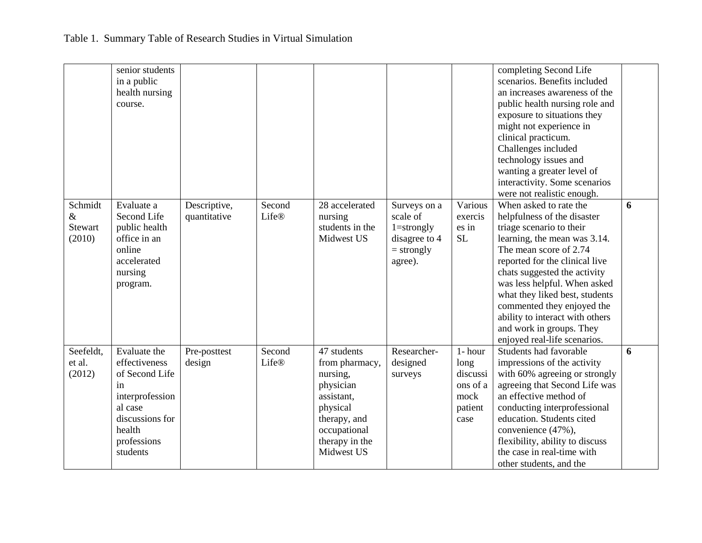|                                             | senior students<br>in a public<br>health nursing<br>course.                                                                                 |                              |                 |                                                                                                                                                  |                                                                                        |                                                                    | completing Second Life<br>scenarios. Benefits included<br>an increases awareness of the<br>public health nursing role and<br>exposure to situations they<br>might not experience in<br>clinical practicum.<br>Challenges included<br>technology issues and<br>wanting a greater level of<br>interactivity. Some scenarios<br>were not realistic enough.                                                      |   |
|---------------------------------------------|---------------------------------------------------------------------------------------------------------------------------------------------|------------------------------|-----------------|--------------------------------------------------------------------------------------------------------------------------------------------------|----------------------------------------------------------------------------------------|--------------------------------------------------------------------|--------------------------------------------------------------------------------------------------------------------------------------------------------------------------------------------------------------------------------------------------------------------------------------------------------------------------------------------------------------------------------------------------------------|---|
| Schmidt<br>$\&$<br><b>Stewart</b><br>(2010) | Evaluate a<br>Second Life<br>public health<br>office in an<br>online<br>accelerated<br>nursing<br>program.                                  | Descriptive,<br>quantitative | Second<br>Life® | 28 accelerated<br>nursing<br>students in the<br>Midwest US                                                                                       | Surveys on a<br>scale of<br>$1 =$ strongly<br>disagree to 4<br>$=$ strongly<br>agree). | Various<br>exercis<br>es in<br><b>SL</b>                           | When asked to rate the<br>helpfulness of the disaster<br>triage scenario to their<br>learning, the mean was 3.14.<br>The mean score of 2.74<br>reported for the clinical live<br>chats suggested the activity<br>was less helpful. When asked<br>what they liked best, students<br>commented they enjoyed the<br>ability to interact with others<br>and work in groups. They<br>enjoyed real-life scenarios. | 6 |
| Seefeldt,<br>et al.<br>(2012)               | Evaluate the<br>effectiveness<br>of Second Life<br>in<br>interprofession<br>al case<br>discussions for<br>health<br>professions<br>students | Pre-posttest<br>design       | Second<br>Life® | 47 students<br>from pharmacy,<br>nursing,<br>physician<br>assistant,<br>physical<br>therapy, and<br>occupational<br>therapy in the<br>Midwest US | Researcher-<br>designed<br>surveys                                                     | 1- hour<br>long<br>discussi<br>ons of a<br>mock<br>patient<br>case | Students had favorable<br>impressions of the activity<br>with 60% agreeing or strongly<br>agreeing that Second Life was<br>an effective method of<br>conducting interprofessional<br>education. Students cited<br>convenience (47%),<br>flexibility, ability to discuss<br>the case in real-time with<br>other students, and the                                                                             | 6 |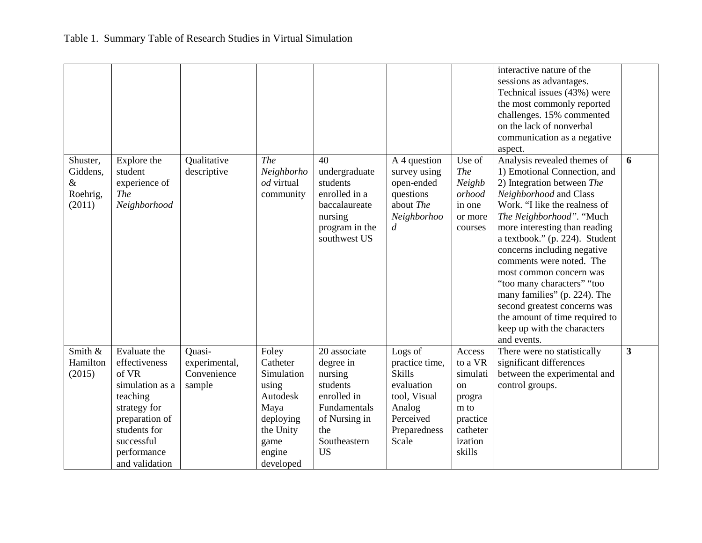|                                                    |                                                                                                                                                                        |                                                  |                                                                                                                       |                                                                                                                                      |                                                                                                                          |                                                                                                    | interactive nature of the<br>sessions as advantages.<br>Technical issues (43%) were<br>the most commonly reported<br>challenges. 15% commented<br>on the lack of nonverbal<br>communication as a negative<br>aspect.                                                                                                                                                                                                                                                                                                    |                         |
|----------------------------------------------------|------------------------------------------------------------------------------------------------------------------------------------------------------------------------|--------------------------------------------------|-----------------------------------------------------------------------------------------------------------------------|--------------------------------------------------------------------------------------------------------------------------------------|--------------------------------------------------------------------------------------------------------------------------|----------------------------------------------------------------------------------------------------|-------------------------------------------------------------------------------------------------------------------------------------------------------------------------------------------------------------------------------------------------------------------------------------------------------------------------------------------------------------------------------------------------------------------------------------------------------------------------------------------------------------------------|-------------------------|
| Shuster,<br>Giddens,<br>$\&$<br>Roehrig,<br>(2011) | Explore the<br>student<br>experience of<br><b>The</b><br>Neighborhood                                                                                                  | Qualitative<br>descriptive                       | The<br>Neighborho<br>od virtual<br>community                                                                          | 40<br>undergraduate<br>students<br>enrolled in a<br>baccalaureate<br>nursing<br>program in the<br>southwest US                       | A 4 question<br>survey using<br>open-ended<br>questions<br>about The<br>Neighborhoo<br>$\boldsymbol{d}$                  | Use of<br><b>The</b><br>Neighb<br>orhood<br>in one<br>or more<br>courses                           | Analysis revealed themes of<br>1) Emotional Connection, and<br>2) Integration between The<br>Neighborhood and Class<br>Work. "I like the realness of<br>The Neighborhood". "Much<br>more interesting than reading<br>a textbook." (p. 224). Student<br>concerns including negative<br>comments were noted. The<br>most common concern was<br>"too many characters" "too<br>many families" (p. 224). The<br>second greatest concerns was<br>the amount of time required to<br>keep up with the characters<br>and events. | 6                       |
| Smith &<br>Hamilton<br>(2015)                      | Evaluate the<br>effectiveness<br>of VR<br>simulation as a<br>teaching<br>strategy for<br>preparation of<br>students for<br>successful<br>performance<br>and validation | Quasi-<br>experimental,<br>Convenience<br>sample | Foley<br>Catheter<br>Simulation<br>using<br>Autodesk<br>Maya<br>deploying<br>the Unity<br>game<br>engine<br>developed | 20 associate<br>degree in<br>nursing<br>students<br>enrolled in<br>Fundamentals<br>of Nursing in<br>the<br>Southeastern<br><b>US</b> | Logs of<br>practice time,<br><b>Skills</b><br>evaluation<br>tool, Visual<br>Analog<br>Perceived<br>Preparedness<br>Scale | Access<br>to a VR<br>simulati<br>on<br>progra<br>m to<br>practice<br>catheter<br>ization<br>skills | There were no statistically<br>significant differences<br>between the experimental and<br>control groups.                                                                                                                                                                                                                                                                                                                                                                                                               | $\overline{\mathbf{3}}$ |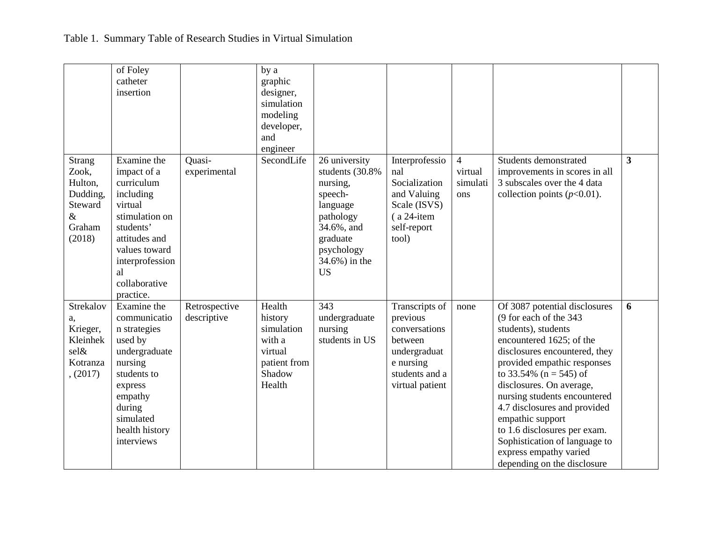|                                                                                      | of Foley<br>catheter<br>insertion                                                                                                                                                        |                              | by a<br>graphic<br>designer,<br>simulation<br>modeling<br>developer,<br>and<br>engineer  |                                                                                                                                                         |                                                                                                                          |                                              |                                                                                                                                                                                                                                                                                                                                                                                                                                                    |                         |
|--------------------------------------------------------------------------------------|------------------------------------------------------------------------------------------------------------------------------------------------------------------------------------------|------------------------------|------------------------------------------------------------------------------------------|---------------------------------------------------------------------------------------------------------------------------------------------------------|--------------------------------------------------------------------------------------------------------------------------|----------------------------------------------|----------------------------------------------------------------------------------------------------------------------------------------------------------------------------------------------------------------------------------------------------------------------------------------------------------------------------------------------------------------------------------------------------------------------------------------------------|-------------------------|
| <b>Strang</b><br>Zook,<br>Hulton,<br>Dudding,<br>Steward<br>$\&$<br>Graham<br>(2018) | Examine the<br>impact of a<br>curriculum<br>including<br>virtual<br>stimulation on<br>students'<br>attitudes and<br>values toward<br>interprofession<br>al<br>collaborative<br>practice. | Quasi-<br>experimental       | SecondLife                                                                               | 26 university<br>students (30.8%)<br>nursing,<br>speech-<br>language<br>pathology<br>34.6%, and<br>graduate<br>psychology<br>34.6%) in the<br><b>US</b> | Interprofessio<br>nal<br>Socialization<br>and Valuing<br>Scale (ISVS)<br>$(a 24$ -item<br>self-report<br>tool)           | $\overline{4}$<br>virtual<br>simulati<br>ons | Students demonstrated<br>improvements in scores in all<br>3 subscales over the 4 data<br>collection points $(p<0.01)$ .                                                                                                                                                                                                                                                                                                                            | $\overline{\mathbf{3}}$ |
| Strekalov<br>a,<br>Krieger,<br>Kleinhek<br>sel&<br>Kotranza<br>, (2017)              | Examine the<br>communicatio<br>n strategies<br>used by<br>undergraduate<br>nursing<br>students to<br>express<br>empathy<br>during<br>simulated<br>health history<br>interviews           | Retrospective<br>descriptive | Health<br>history<br>simulation<br>with a<br>virtual<br>patient from<br>Shadow<br>Health | 343<br>undergraduate<br>nursing<br>students in US                                                                                                       | Transcripts of<br>previous<br>conversations<br>between<br>undergraduat<br>e nursing<br>students and a<br>virtual patient | none                                         | Of 3087 potential disclosures<br>(9 for each of the 343<br>students), students<br>encountered 1625; of the<br>disclosures encountered, they<br>provided empathic responses<br>to 33.54% ( $n = 545$ ) of<br>disclosures. On average,<br>nursing students encountered<br>4.7 disclosures and provided<br>empathic support<br>to 1.6 disclosures per exam.<br>Sophistication of language to<br>express empathy varied<br>depending on the disclosure | 6                       |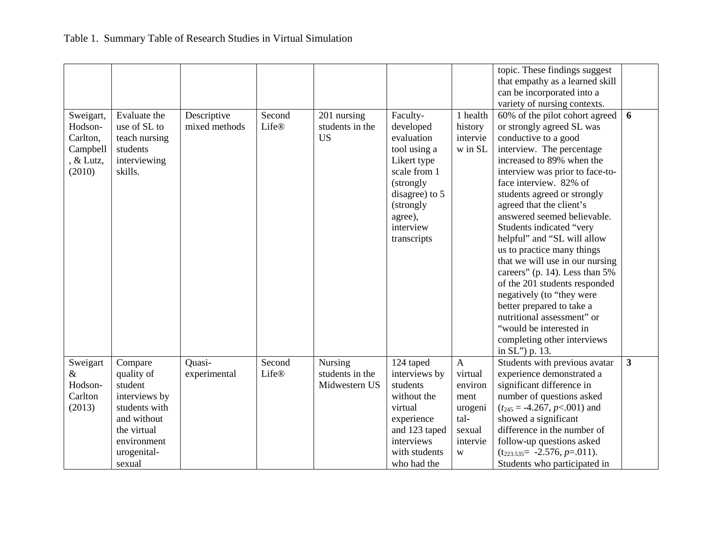|           |               |               |              |                 |                |                 | topic. These findings suggest      |              |
|-----------|---------------|---------------|--------------|-----------------|----------------|-----------------|------------------------------------|--------------|
|           |               |               |              |                 |                |                 | that empathy as a learned skill    |              |
|           |               |               |              |                 |                |                 | can be incorporated into a         |              |
|           |               |               |              |                 |                |                 | variety of nursing contexts.       |              |
| Sweigart, | Evaluate the  | Descriptive   | Second       | 201 nursing     | Faculty-       | 1 health        | 60% of the pilot cohort agreed     | 6            |
| Hodson-   | use of SL to  | mixed methods | <b>Life®</b> | students in the | developed      | history         | or strongly agreed SL was          |              |
| Carlton,  | teach nursing |               |              | <b>US</b>       | evaluation     | intervie        | conductive to a good               |              |
| Campbell  | students      |               |              |                 | tool using a   | w in SL         | interview. The percentage          |              |
| $&$ Lutz, | interviewing  |               |              |                 | Likert type    |                 | increased to 89% when the          |              |
| (2010)    | skills.       |               |              |                 | scale from 1   |                 | interview was prior to face-to-    |              |
|           |               |               |              |                 |                |                 | face interview. 82% of             |              |
|           |               |               |              |                 | (strongly)     |                 |                                    |              |
|           |               |               |              |                 | disagree) to 5 |                 | students agreed or strongly        |              |
|           |               |               |              |                 | (strongly      |                 | agreed that the client's           |              |
|           |               |               |              |                 | agree),        |                 | answered seemed believable.        |              |
|           |               |               |              |                 | interview      |                 | Students indicated "very           |              |
|           |               |               |              |                 | transcripts    |                 | helpful" and "SL will allow        |              |
|           |               |               |              |                 |                |                 | us to practice many things         |              |
|           |               |               |              |                 |                |                 | that we will use in our nursing    |              |
|           |               |               |              |                 |                |                 | careers" (p. 14). Less than $5\%$  |              |
|           |               |               |              |                 |                |                 | of the 201 students responded      |              |
|           |               |               |              |                 |                |                 | negatively (to "they were          |              |
|           |               |               |              |                 |                |                 | better prepared to take a          |              |
|           |               |               |              |                 |                |                 | nutritional assessment" or         |              |
|           |               |               |              |                 |                |                 | "would be interested in            |              |
|           |               |               |              |                 |                |                 | completing other interviews        |              |
|           |               |               |              |                 |                |                 | in SL") p. 13.                     |              |
| Sweigart  | Compare       | Quasi-        | Second       | Nursing         | 124 taped      | $\mathbf{A}$    | Students with previous avatar      | $\mathbf{3}$ |
| &         | quality of    | experimental  | Life®        | students in the | interviews by  | virtual         | experience demonstrated a          |              |
| Hodson-   | student       |               |              | Midwestern US   | students       | environ         | significant difference in          |              |
| Carlton   | interviews by |               |              |                 | without the    | ment            | number of questions asked          |              |
| (2013)    | students with |               |              |                 | virtual        |                 | $(t_{245} = -4.267, p < .001)$ and |              |
|           | and without   |               |              |                 |                | urogeni<br>tal- | showed a significant               |              |
|           |               |               |              |                 | experience     |                 |                                    |              |
|           | the virtual   |               |              |                 | and 123 taped  | sexual          | difference in the number of        |              |
|           | environment   |               |              |                 | interviews     | intervie        | follow-up questions asked          |              |
|           | urogenital-   |               |              |                 | with students  | W               | $(t_{223.535} = -2.576, p=011).$   |              |
|           | sexual        |               |              |                 | who had the    |                 | Students who participated in       |              |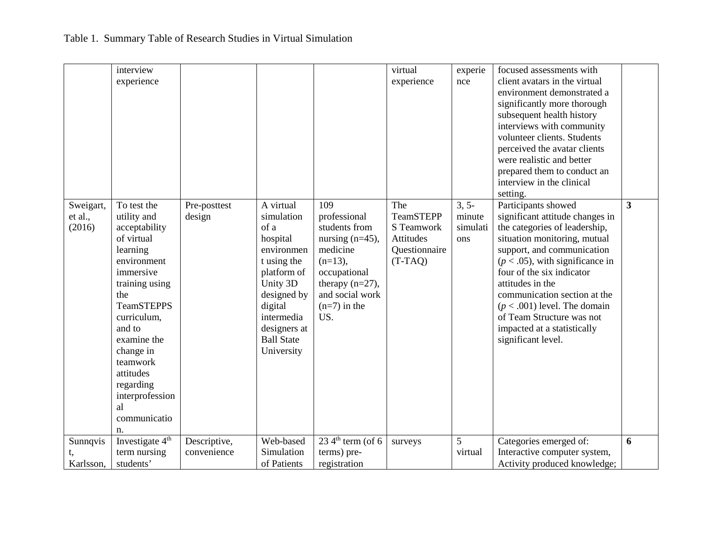|                                | interview<br>experience                                                                                                                                                                                                                                                                   |                             |                                                                                                                                                                                                |                                                                                                                                                                        | virtual<br>experience                                                            | experie<br>nce                       | focused assessments with<br>client avatars in the virtual<br>environment demonstrated a<br>significantly more thorough<br>subsequent health history<br>interviews with community<br>volunteer clients. Students<br>perceived the avatar clients<br>were realistic and better<br>prepared them to conduct an<br>interview in the clinical                                                                     |                         |
|--------------------------------|-------------------------------------------------------------------------------------------------------------------------------------------------------------------------------------------------------------------------------------------------------------------------------------------|-----------------------------|------------------------------------------------------------------------------------------------------------------------------------------------------------------------------------------------|------------------------------------------------------------------------------------------------------------------------------------------------------------------------|----------------------------------------------------------------------------------|--------------------------------------|--------------------------------------------------------------------------------------------------------------------------------------------------------------------------------------------------------------------------------------------------------------------------------------------------------------------------------------------------------------------------------------------------------------|-------------------------|
| Sweigart,<br>et al.,<br>(2016) | To test the<br>utility and<br>acceptability<br>of virtual<br>learning<br>environment<br>immersive<br>training using<br>the<br><b>TeamSTEPPS</b><br>curriculum,<br>and to<br>examine the<br>change in<br>teamwork<br>attitudes<br>regarding<br>interprofession<br>al<br>communicatio<br>n. | Pre-posttest<br>design      | A virtual<br>simulation<br>of a<br>hospital<br>environmen<br>t using the<br>platform of<br>Unity 3D<br>designed by<br>digital<br>intermedia<br>designers at<br><b>Ball State</b><br>University | 109<br>professional<br>students from<br>nursing $(n=45)$ ,<br>medicine<br>$(n=13)$ ,<br>occupational<br>therapy $(n=27)$ ,<br>and social work<br>$(n=7)$ in the<br>US. | The<br><b>TeamSTEPP</b><br>S Teamwork<br>Attitudes<br>Questionnaire<br>$(T-TAQ)$ | $3, 5-$<br>minute<br>simulati<br>ons | setting.<br>Participants showed<br>significant attitude changes in<br>the categories of leadership,<br>situation monitoring, mutual<br>support, and communication<br>$(p < .05)$ , with significance in<br>four of the six indicator<br>attitudes in the<br>communication section at the<br>$(p < .001)$ level. The domain<br>of Team Structure was not<br>impacted at a statistically<br>significant level. | $\overline{\mathbf{3}}$ |
| Sunnqvis<br>Karlsson,          | Investigate 4 <sup>th</sup><br>term nursing<br>students'                                                                                                                                                                                                                                  | Descriptive,<br>convenience | Web-based<br>Simulation<br>of Patients                                                                                                                                                         | $234$ <sup>th</sup> term (of 6<br>terms) pre-<br>registration                                                                                                          | surveys                                                                          | 5<br>virtual                         | Categories emerged of:<br>Interactive computer system,<br>Activity produced knowledge;                                                                                                                                                                                                                                                                                                                       | 6                       |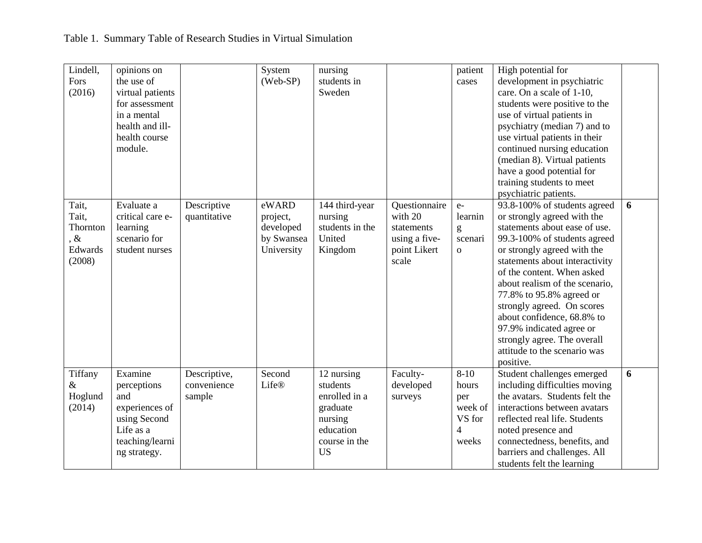| Lindell,<br>Fors<br>(2016)                                  | opinions on<br>the use of<br>virtual patients<br>for assessment<br>in a mental<br>health and ill-<br>health course<br>module. |                                       | System<br>(Web-SP)                                         | nursing<br>students in<br>Sweden                                                                          |                                                                                  | patient<br>cases                                                         | High potential for<br>development in psychiatric<br>care. On a scale of 1-10,<br>students were positive to the<br>use of virtual patients in<br>psychiatry (median 7) and to<br>use virtual patients in their<br>continued nursing education<br>(median 8). Virtual patients<br>have a good potential for<br>training students to meet<br>psychiatric patients.                                                                                               |   |
|-------------------------------------------------------------|-------------------------------------------------------------------------------------------------------------------------------|---------------------------------------|------------------------------------------------------------|-----------------------------------------------------------------------------------------------------------|----------------------------------------------------------------------------------|--------------------------------------------------------------------------|---------------------------------------------------------------------------------------------------------------------------------------------------------------------------------------------------------------------------------------------------------------------------------------------------------------------------------------------------------------------------------------------------------------------------------------------------------------|---|
| Tait,<br>Tait,<br>Thornton<br>$\alpha$<br>Edwards<br>(2008) | Evaluate a<br>critical care e-<br>learning<br>scenario for<br>student nurses                                                  | Descriptive<br>quantitative           | eWARD<br>project,<br>developed<br>by Swansea<br>University | 144 third-year<br>nursing<br>students in the<br>United<br>Kingdom                                         | Questionnaire<br>with 20<br>statements<br>using a five-<br>point Likert<br>scale | $e-$<br>learnin<br>g<br>scenari<br>$\mathbf{O}$                          | 93.8-100% of students agreed<br>or strongly agreed with the<br>statements about ease of use.<br>99.3-100% of students agreed<br>or strongly agreed with the<br>statements about interactivity<br>of the content. When asked<br>about realism of the scenario,<br>77.8% to 95.8% agreed or<br>strongly agreed. On scores<br>about confidence, 68.8% to<br>97.9% indicated agree or<br>strongly agree. The overall<br>attitude to the scenario was<br>positive. | 6 |
| Tiffany<br>&<br>Hoglund<br>(2014)                           | Examine<br>perceptions<br>and<br>experiences of<br>using Second<br>Life as a<br>teaching/learni<br>ng strategy.               | Descriptive,<br>convenience<br>sample | Second<br>Life®                                            | 12 nursing<br>students<br>enrolled in a<br>graduate<br>nursing<br>education<br>course in the<br><b>US</b> | Faculty-<br>developed<br>surveys                                                 | $8 - 10$<br>hours<br>per<br>week of<br>VS for<br>$\overline{4}$<br>weeks | Student challenges emerged<br>including difficulties moving<br>the avatars. Students felt the<br>interactions between avatars<br>reflected real life. Students<br>noted presence and<br>connectedness, benefits, and<br>barriers and challenges. All<br>students felt the learning                                                                                                                                                                            | 6 |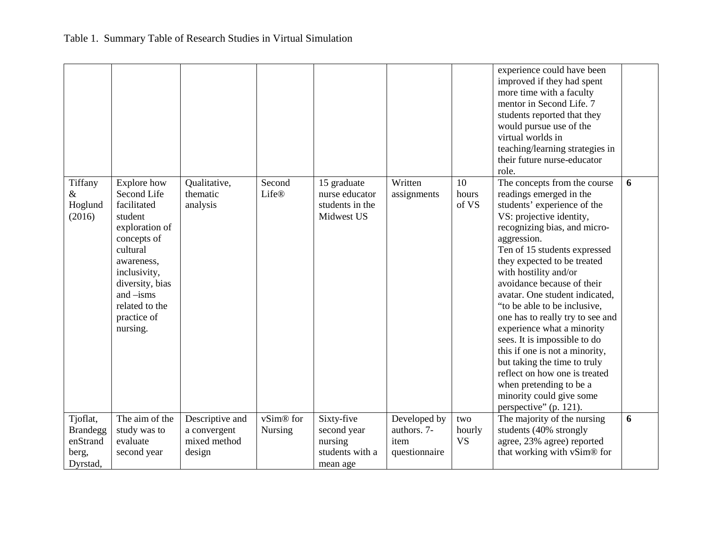| Tiffany<br>Explore how<br>Written<br>10<br>6<br>Qualitative,<br>Second<br>15 graduate<br>The concepts from the course<br>Life®<br>$\&$<br>Second Life<br>thematic<br>readings emerged in the<br>nurse educator<br>assignments<br>hours<br>students' experience of the<br>Hoglund<br>facilitated<br>students in the<br>of VS<br>analysis<br>(2016)<br>VS: projective identity,<br>student<br>Midwest US<br>recognizing bias, and micro-<br>exploration of<br>aggression.<br>concepts of<br>cultural<br>Ten of 15 students expressed<br>they expected to be treated<br>awareness,<br>with hostility and/or<br>inclusivity,<br>avoidance because of their<br>diversity, bias<br>and $-$ isms<br>avatar. One student indicated,<br>related to the<br>"to be able to be inclusive,<br>one has to really try to see and<br>practice of<br>experience what a minority<br>nursing.<br>sees. It is impossible to do<br>this if one is not a minority,<br>but taking the time to truly<br>reflect on how one is treated<br>when pretending to be a<br>minority could give some<br>perspective" (p. 121).<br>The aim of the<br>vSim <sup>®</sup> for<br>Tjoflat,<br>Sixty-five<br>Developed by<br>The majority of the nursing<br>6<br>Descriptive and<br>two<br>students (40% strongly<br><b>Brandegg</b><br>study was to<br>authors. 7-<br>a convergent<br><b>Nursing</b><br>second year<br>hourly<br>enStrand<br>mixed method<br><b>VS</b><br>agree, 23% agree) reported<br>evaluate<br>nursing<br>item<br>that working with vSim® for<br>students with a<br>berg,<br>second year<br>design<br>questionnaire |          |  |          |  | experience could have been<br>improved if they had spent<br>more time with a faculty<br>mentor in Second Life. 7<br>students reported that they<br>would pursue use of the<br>virtual worlds in<br>teaching/learning strategies in<br>their future nurse-educator<br>role. |  |
|-----------------------------------------------------------------------------------------------------------------------------------------------------------------------------------------------------------------------------------------------------------------------------------------------------------------------------------------------------------------------------------------------------------------------------------------------------------------------------------------------------------------------------------------------------------------------------------------------------------------------------------------------------------------------------------------------------------------------------------------------------------------------------------------------------------------------------------------------------------------------------------------------------------------------------------------------------------------------------------------------------------------------------------------------------------------------------------------------------------------------------------------------------------------------------------------------------------------------------------------------------------------------------------------------------------------------------------------------------------------------------------------------------------------------------------------------------------------------------------------------------------------------------------------------------------------------------------------------------|----------|--|----------|--|----------------------------------------------------------------------------------------------------------------------------------------------------------------------------------------------------------------------------------------------------------------------------|--|
|                                                                                                                                                                                                                                                                                                                                                                                                                                                                                                                                                                                                                                                                                                                                                                                                                                                                                                                                                                                                                                                                                                                                                                                                                                                                                                                                                                                                                                                                                                                                                                                                     |          |  |          |  |                                                                                                                                                                                                                                                                            |  |
|                                                                                                                                                                                                                                                                                                                                                                                                                                                                                                                                                                                                                                                                                                                                                                                                                                                                                                                                                                                                                                                                                                                                                                                                                                                                                                                                                                                                                                                                                                                                                                                                     |          |  |          |  |                                                                                                                                                                                                                                                                            |  |
|                                                                                                                                                                                                                                                                                                                                                                                                                                                                                                                                                                                                                                                                                                                                                                                                                                                                                                                                                                                                                                                                                                                                                                                                                                                                                                                                                                                                                                                                                                                                                                                                     |          |  |          |  |                                                                                                                                                                                                                                                                            |  |
|                                                                                                                                                                                                                                                                                                                                                                                                                                                                                                                                                                                                                                                                                                                                                                                                                                                                                                                                                                                                                                                                                                                                                                                                                                                                                                                                                                                                                                                                                                                                                                                                     |          |  |          |  |                                                                                                                                                                                                                                                                            |  |
|                                                                                                                                                                                                                                                                                                                                                                                                                                                                                                                                                                                                                                                                                                                                                                                                                                                                                                                                                                                                                                                                                                                                                                                                                                                                                                                                                                                                                                                                                                                                                                                                     | Dyrstad, |  | mean age |  |                                                                                                                                                                                                                                                                            |  |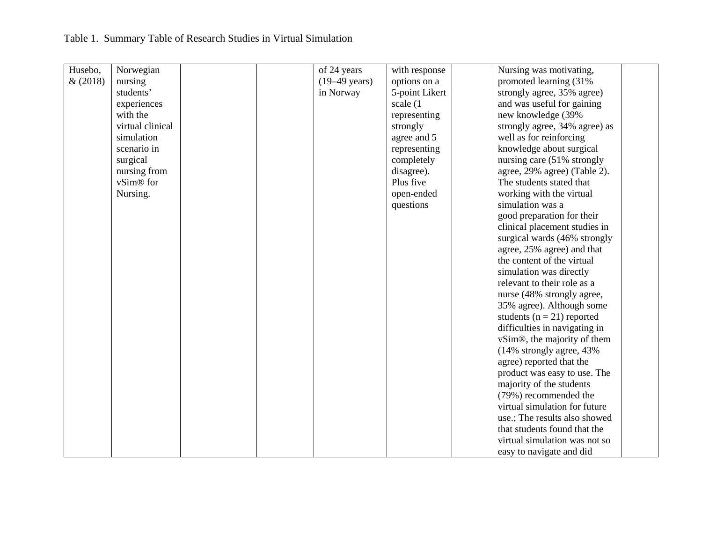## Table 1. Summary Table of Research Studies in Virtual Simulation

| Husebo, | Norwegian        | of 24 years             | with response  | Nursing was motivating,                  |
|---------|------------------|-------------------------|----------------|------------------------------------------|
| &(2018) | nursing          | $(19-49 \text{ years})$ | options on a   | promoted learning (31%)                  |
|         | students'        | in Norway               | 5-point Likert | strongly agree, 35% agree)               |
|         | experiences      |                         | scale (1)      | and was useful for gaining               |
|         | with the         |                         | representing   | new knowledge (39%                       |
|         | virtual clinical |                         | strongly       | strongly agree, 34% agree) as            |
|         | simulation       |                         | agree and 5    | well as for reinforcing                  |
|         | scenario in      |                         | representing   | knowledge about surgical                 |
|         | surgical         |                         | completely     | nursing care (51% strongly               |
|         | nursing from     |                         | disagree).     | agree, 29% agree) (Table 2).             |
|         | vSim® for        |                         | Plus five      | The students stated that                 |
|         | Nursing.         |                         | open-ended     | working with the virtual                 |
|         |                  |                         | questions      | simulation was a                         |
|         |                  |                         |                | good preparation for their               |
|         |                  |                         |                | clinical placement studies in            |
|         |                  |                         |                | surgical wards (46% strongly             |
|         |                  |                         |                | agree, 25% agree) and that               |
|         |                  |                         |                | the content of the virtual               |
|         |                  |                         |                | simulation was directly                  |
|         |                  |                         |                | relevant to their role as a              |
|         |                  |                         |                | nurse (48% strongly agree,               |
|         |                  |                         |                | 35% agree). Although some                |
|         |                  |                         |                | students ( $n = 21$ ) reported           |
|         |                  |                         |                | difficulties in navigating in            |
|         |                  |                         |                | vSim <sup>®</sup> , the majority of them |
|         |                  |                         |                | (14% strongly agree, 43%)                |
|         |                  |                         |                | agree) reported that the                 |
|         |                  |                         |                | product was easy to use. The             |
|         |                  |                         |                | majority of the students                 |
|         |                  |                         |                | (79%) recommended the                    |
|         |                  |                         |                | virtual simulation for future            |
|         |                  |                         |                | use.; The results also showed            |
|         |                  |                         |                | that students found that the             |
|         |                  |                         |                | virtual simulation was not so            |
|         |                  |                         |                | easy to navigate and did                 |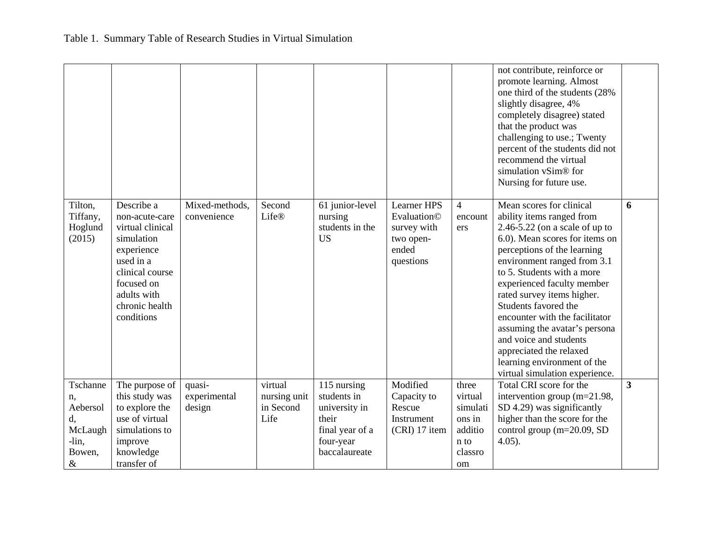|                                          |                                                                                                                                                                           |                               |                         |                                                            |                                                                              |                                  | not contribute, reinforce or<br>promote learning. Almost<br>one third of the students (28%<br>slightly disagree, 4%<br>completely disagree) stated<br>that the product was<br>challenging to use.; Twenty<br>percent of the students did not<br>recommend the virtual<br>simulation vSim <sup>®</sup> for<br>Nursing for future use.                                                                                                                                                                    |              |
|------------------------------------------|---------------------------------------------------------------------------------------------------------------------------------------------------------------------------|-------------------------------|-------------------------|------------------------------------------------------------|------------------------------------------------------------------------------|----------------------------------|---------------------------------------------------------------------------------------------------------------------------------------------------------------------------------------------------------------------------------------------------------------------------------------------------------------------------------------------------------------------------------------------------------------------------------------------------------------------------------------------------------|--------------|
| Tilton,<br>Tiffany,<br>Hoglund<br>(2015) | Describe a<br>non-acute-care<br>virtual clinical<br>simulation<br>experience<br>used in a<br>clinical course<br>focused on<br>adults with<br>chronic health<br>conditions | Mixed-methods,<br>convenience | Second<br>Life®         | 61 junior-level<br>nursing<br>students in the<br><b>US</b> | Learner HPS<br>Evaluation©<br>survey with<br>two open-<br>ended<br>questions | $\overline{4}$<br>encount<br>ers | Mean scores for clinical<br>ability items ranged from<br>$2.46 - 5.22$ (on a scale of up to<br>6.0). Mean scores for items on<br>perceptions of the learning<br>environment ranged from 3.1<br>to 5. Students with a more<br>experienced faculty member<br>rated survey items higher.<br>Students favored the<br>encounter with the facilitator<br>assuming the avatar's personal<br>and voice and students<br>appreciated the relaxed<br>learning environment of the<br>virtual simulation experience. | 6            |
| Tschanne<br>n,                           | The purpose of<br>this study was                                                                                                                                          | quasi-<br>experimental        | virtual<br>nursing unit | 115 nursing<br>students in                                 | Modified<br>Capacity to                                                      | three<br>virtual                 | Total CRI score for the<br>intervention group (m=21.98,                                                                                                                                                                                                                                                                                                                                                                                                                                                 | $\mathbf{3}$ |
| Aebersol                                 | to explore the                                                                                                                                                            | design                        | in Second               | university in                                              | Rescue                                                                       | simulati                         | SD 4.29) was significantly                                                                                                                                                                                                                                                                                                                                                                                                                                                                              |              |
| d,                                       | use of virtual                                                                                                                                                            |                               | Life                    | their                                                      | Instrument                                                                   | ons in                           | higher than the score for the                                                                                                                                                                                                                                                                                                                                                                                                                                                                           |              |
| McLaugh                                  | simulations to                                                                                                                                                            |                               |                         | final year of a                                            | (CRI) 17 item                                                                | additio                          | control group (m=20.09, SD                                                                                                                                                                                                                                                                                                                                                                                                                                                                              |              |
|                                          |                                                                                                                                                                           |                               |                         |                                                            |                                                                              |                                  |                                                                                                                                                                                                                                                                                                                                                                                                                                                                                                         |              |
|                                          |                                                                                                                                                                           |                               |                         |                                                            |                                                                              |                                  |                                                                                                                                                                                                                                                                                                                                                                                                                                                                                                         |              |
| -lin,<br>Bowen,<br>$\&$                  | improve<br>knowledge<br>transfer of                                                                                                                                       |                               |                         | four-year<br>baccalaureate                                 |                                                                              | n to<br>classro<br>om            | $4.05$ ).                                                                                                                                                                                                                                                                                                                                                                                                                                                                                               |              |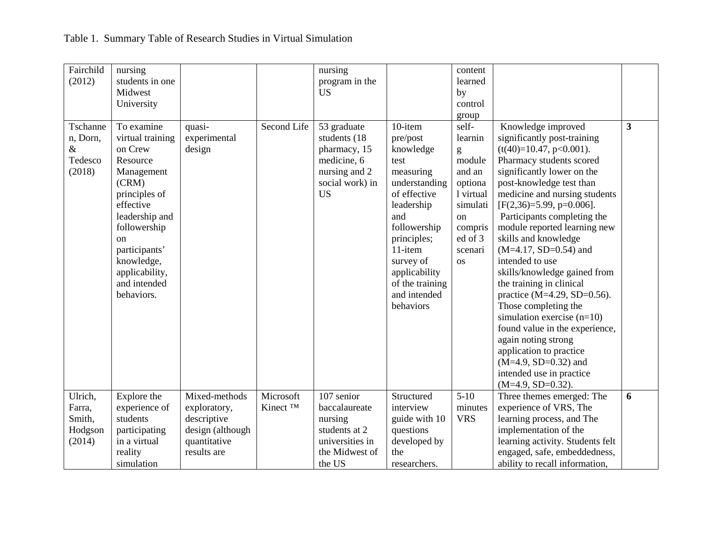| Fairchild<br>(2012) | nursing<br>students in one |                  |                      | nursing<br>program in the    |                               | content<br>learned   |                                                             |                         |
|---------------------|----------------------------|------------------|----------------------|------------------------------|-------------------------------|----------------------|-------------------------------------------------------------|-------------------------|
|                     | Midwest                    |                  |                      | <b>US</b>                    |                               | by                   |                                                             |                         |
|                     | University                 |                  |                      |                              |                               | control              |                                                             |                         |
|                     |                            |                  |                      |                              |                               | group                |                                                             |                         |
| Tschanne            | To examine                 | quasi-           | Second Life          | 53 graduate                  | 10-item                       | self-                | Knowledge improved                                          | $\overline{\mathbf{3}}$ |
| n, Dorn,            | virtual training           | experimental     |                      | students (18)                | pre/post                      | learnin              | significantly post-training                                 |                         |
| $\&$                | on Crew                    | design           |                      | pharmacy, 15                 | knowledge                     | g                    | $(t(40)=10.47, p<0.001)$ .                                  |                         |
| Tedesco             | Resource                   |                  |                      | medicine, 6                  | test                          | module               | Pharmacy students scored                                    |                         |
| (2018)              | Management                 |                  |                      | nursing and 2                | measuring                     | and an               | significantly lower on the                                  |                         |
|                     | (CRM)                      |                  |                      | social work) in<br><b>US</b> | understanding<br>of effective | optiona<br>1 virtual | post-knowledge test than                                    |                         |
|                     | principles of<br>effective |                  |                      |                              | leadership                    | simulati             | medicine and nursing students<br>$[F(2,36)=5.99, p=0.006].$ |                         |
|                     | leadership and             |                  |                      |                              | and                           | on                   | Participants completing the                                 |                         |
|                     | followership               |                  |                      |                              | followership                  | compris              | module reported learning new                                |                         |
|                     | $_{\rm on}$                |                  |                      |                              | principles;                   | ed of 3              | skills and knowledge                                        |                         |
|                     | participants'              |                  |                      |                              | 11-item                       | scenari              | $(M=4.17, SD=0.54)$ and                                     |                         |
|                     | knowledge,                 |                  |                      |                              | survey of                     | <b>OS</b>            | intended to use                                             |                         |
|                     | applicability,             |                  |                      |                              | applicability                 |                      | skills/knowledge gained from                                |                         |
|                     | and intended               |                  |                      |                              | of the training               |                      | the training in clinical                                    |                         |
|                     | behaviors.                 |                  |                      |                              | and intended                  |                      | practice (M=4.29, SD=0.56).                                 |                         |
|                     |                            |                  |                      |                              | behaviors                     |                      | Those completing the                                        |                         |
|                     |                            |                  |                      |                              |                               |                      | simulation exercise $(n=10)$                                |                         |
|                     |                            |                  |                      |                              |                               |                      | found value in the experience,                              |                         |
|                     |                            |                  |                      |                              |                               |                      | again noting strong                                         |                         |
|                     |                            |                  |                      |                              |                               |                      | application to practice                                     |                         |
|                     |                            |                  |                      |                              |                               |                      | $(M=4.9, SD=0.32)$ and                                      |                         |
|                     |                            |                  |                      |                              |                               |                      | intended use in practice                                    |                         |
|                     |                            |                  |                      |                              |                               |                      | $(M=4.9, SD=0.32).$                                         |                         |
| Ulrich,             | Explore the                | Mixed-methods    | Microsoft            | 107 senior                   | Structured                    | $5-10$               | Three themes emerged: The                                   | 6                       |
| Farra,              | experience of              | exploratory,     | Kinect <sup>TM</sup> | baccalaureate                | interview                     | minutes              | experience of VRS, The                                      |                         |
| Smith,              | students                   | descriptive      |                      | nursing                      | guide with 10                 | <b>VRS</b>           | learning process, and The                                   |                         |
| Hodgson             | participating              | design (although |                      | students at 2                | questions                     |                      | implementation of the                                       |                         |
| (2014)              | in a virtual               | quantitative     |                      | universities in              | developed by                  |                      | learning activity. Students felt                            |                         |
|                     | reality                    | results are      |                      | the Midwest of               | the                           |                      | engaged, safe, embeddedness,                                |                         |
|                     | simulation                 |                  |                      | the US                       | researchers.                  |                      | ability to recall information,                              |                         |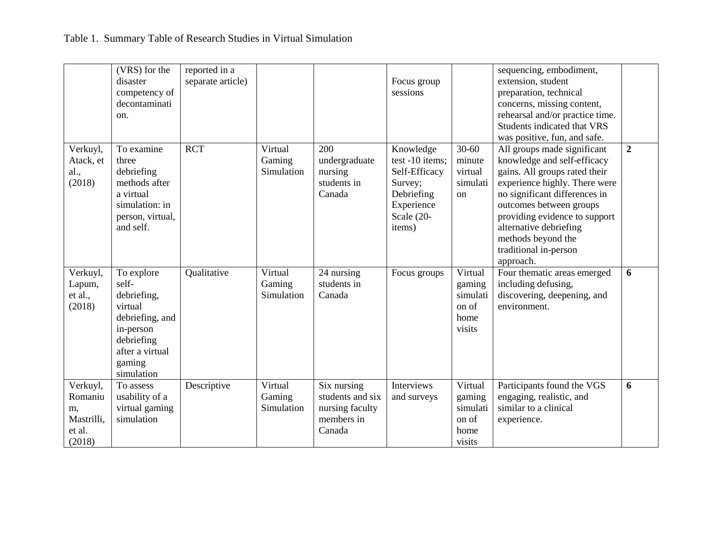|                                                             | (VRS) for the<br>disaster<br>competency of<br>decontaminati<br>on.                                                                     | reported in a<br>separate article) |                                 |                                                                            | Focus group<br>sessions                                                                                        |                                                          | sequencing, embodiment,<br>extension, student<br>preparation, technical<br>concerns, missing content,<br>rehearsal and/or practice time.<br>Students indicated that VRS<br>was positive, fun, and safe.                                                                                                         |                |
|-------------------------------------------------------------|----------------------------------------------------------------------------------------------------------------------------------------|------------------------------------|---------------------------------|----------------------------------------------------------------------------|----------------------------------------------------------------------------------------------------------------|----------------------------------------------------------|-----------------------------------------------------------------------------------------------------------------------------------------------------------------------------------------------------------------------------------------------------------------------------------------------------------------|----------------|
| Verkuyl,<br>Atack, et<br>al.,<br>(2018)                     | To examine<br>three<br>debriefing<br>methods after<br>a virtual<br>simulation: in<br>person, virtual,<br>and self.                     | <b>RCT</b>                         | Virtual<br>Gaming<br>Simulation | 200<br>undergraduate<br>nursing<br>students in<br>Canada                   | Knowledge<br>test -10 items;<br>Self-Efficacy<br>Survey;<br>Debriefing<br>Experience<br>Scale $(20-$<br>items) | $30 - 60$<br>minute<br>virtual<br>simulati<br>on         | All groups made significant<br>knowledge and self-efficacy<br>gains. All groups rated their<br>experience highly. There were<br>no significant differences in<br>outcomes between groups<br>providing evidence to support<br>alternative debriefing<br>methods beyond the<br>traditional in-person<br>approach. | $\overline{2}$ |
| Verkuyl,<br>Lapum,<br>et al.,<br>(2018)                     | To explore<br>self-<br>debriefing,<br>virtual<br>debriefing, and<br>in-person<br>debriefing<br>after a virtual<br>gaming<br>simulation | Qualitative                        | Virtual<br>Gaming<br>Simulation | 24 nursing<br>students in<br>Canada                                        | Focus groups                                                                                                   | Virtual<br>gaming<br>simulati<br>on of<br>home<br>visits | Four thematic areas emerged<br>including defusing,<br>discovering, deepening, and<br>environment.                                                                                                                                                                                                               | 6              |
| Verkuyl,<br>Romaniu<br>m,<br>Mastrilli,<br>et al.<br>(2018) | To assess<br>usability of a<br>virtual gaming<br>simulation                                                                            | Descriptive                        | Virtual<br>Gaming<br>Simulation | Six nursing<br>students and six<br>nursing faculty<br>members in<br>Canada | Interviews<br>and surveys                                                                                      | Virtual<br>gaming<br>simulati<br>on of<br>home<br>visits | Participants found the VGS<br>engaging, realistic, and<br>similar to a clinical<br>experience.                                                                                                                                                                                                                  | 6              |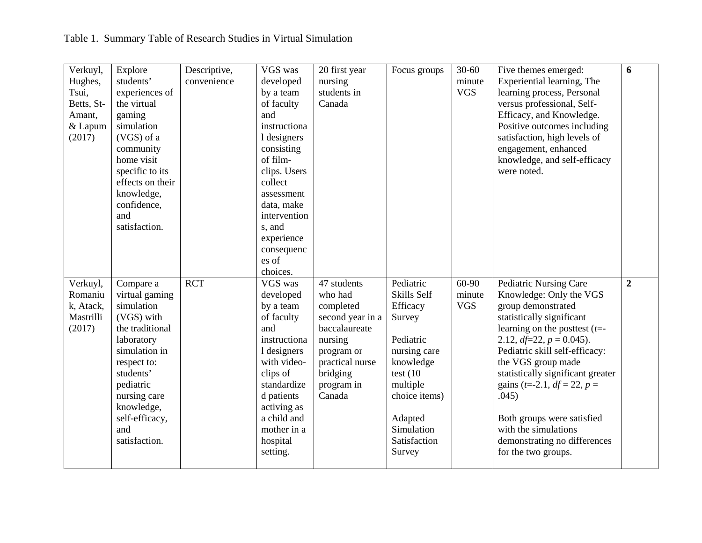| Verkuyl,   | Explore          | Descriptive, | VGS was      | 20 first year    | Focus groups  | $30 - 60$  | Five themes emerged:                               | 6              |
|------------|------------------|--------------|--------------|------------------|---------------|------------|----------------------------------------------------|----------------|
| Hughes,    | students'        | convenience  | developed    | nursing          |               | minute     | Experiential learning, The                         |                |
| Tsui,      | experiences of   |              | by a team    | students in      |               | <b>VGS</b> | learning process, Personal                         |                |
| Betts, St- | the virtual      |              | of faculty   | Canada           |               |            | versus professional, Self-                         |                |
| Amant,     | gaming           |              | and          |                  |               |            | Efficacy, and Knowledge.                           |                |
| & Lapum    | simulation       |              | instructiona |                  |               |            | Positive outcomes including                        |                |
| (2017)     | (VGS) of a       |              | 1 designers  |                  |               |            | satisfaction, high levels of                       |                |
|            | community        |              | consisting   |                  |               |            | engagement, enhanced                               |                |
|            | home visit       |              | of film-     |                  |               |            | knowledge, and self-efficacy                       |                |
|            | specific to its  |              | clips. Users |                  |               |            | were noted.                                        |                |
|            | effects on their |              | collect      |                  |               |            |                                                    |                |
|            | knowledge,       |              | assessment   |                  |               |            |                                                    |                |
|            | confidence,      |              | data, make   |                  |               |            |                                                    |                |
|            | and              |              | intervention |                  |               |            |                                                    |                |
|            | satisfaction.    |              | s, and       |                  |               |            |                                                    |                |
|            |                  |              | experience   |                  |               |            |                                                    |                |
|            |                  |              | consequenc   |                  |               |            |                                                    |                |
|            |                  |              | es of        |                  |               |            |                                                    |                |
|            |                  |              | choices.     |                  |               |            |                                                    |                |
| Verkuyl,   | Compare a        | <b>RCT</b>   | VGS was      | 47 students      | Pediatric     | 60-90      | Pediatric Nursing Care                             | $\overline{2}$ |
| Romaniu    | virtual gaming   |              | developed    | who had          | Skills Self   | minute     | Knowledge: Only the VGS                            |                |
|            |                  |              |              |                  |               |            |                                                    |                |
| k, Atack,  | simulation       |              | by a team    | completed        | Efficacy      | <b>VGS</b> | group demonstrated                                 |                |
| Mastrilli  | (VGS) with       |              | of faculty   | second year in a | Survey        |            | statistically significant                          |                |
| (2017)     | the traditional  |              | and          | baccalaureate    |               |            | learning on the posttest $(t=$                     |                |
|            | laboratory       |              | instructiona | nursing          | Pediatric     |            | 2.12, $df=22$ , $p = 0.045$ ).                     |                |
|            | simulation in    |              | 1 designers  | program or       | nursing care  |            | Pediatric skill self-efficacy:                     |                |
|            | respect to:      |              | with video-  | practical nurse  | knowledge     |            | the VGS group made                                 |                |
|            | students'        |              | clips of     | bridging         | test $(10)$   |            | statistically significant greater                  |                |
|            | pediatric        |              | standardize  | program in       | multiple      |            | gains ( <i>t</i> =-2.1, <i>df</i> = 22, <i>p</i> = |                |
|            | nursing care     |              | d patients   | Canada           | choice items) |            | .045)                                              |                |
|            | knowledge,       |              | activing as  |                  |               |            |                                                    |                |
|            | self-efficacy,   |              | a child and  |                  | Adapted       |            | Both groups were satisfied                         |                |
|            | and              |              | mother in a  |                  | Simulation    |            | with the simulations                               |                |
|            | satisfaction.    |              | hospital     |                  | Satisfaction  |            | demonstrating no differences                       |                |
|            |                  |              | setting.     |                  | Survey        |            | for the two groups.                                |                |